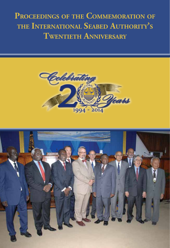**Proceedings of the Commemoration of the International Seabed Authority's Twentieth Anniversary**



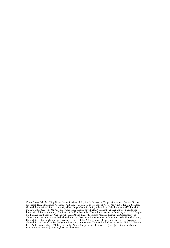Cover Photo: L-R: Mr Bäidy Diène, Secretaire General Adjoint de l'agence de Cooperation entre la Guinee Bissau et le Senegal; H.E. Mr Mumba Kapumpa, Ambassador of Zambia to Republic of Korea; Mr Nii A Odunton, Secretary-General, International Seabed Authority (ISA); Judge Vladimir Golitsyn, President of the International Tribunal for<br>the Law of the Sea; H.E. Mr Antonio Francisco Da Costa e Silva Neto, Permanent Representative of Brazil to Cameroon to the International Seabed Authority and Permanent Representative of Cameroon to the United Nations;<br>H.E. Mr Satya N. Nandan, former Secretary-General of the ISA and Special Representative of the UN Secretary-<br>Ge Koh, Ambassador-at-large, Ministry of Foreign Affairs, Singapore and Professor Hasjim Djalal, Senior Advisor for the Law of the Sea, Ministry of Foreign Affairs, Indonesia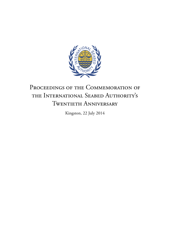

# PROCEEDINGS OF THE COMMEMORATION OF the International Seabed Authority's Twentieth Anniversary

Kingston, 22 July 2014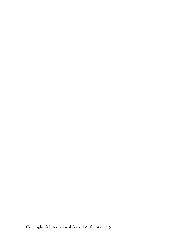Copyright © International Seabed Authority 2015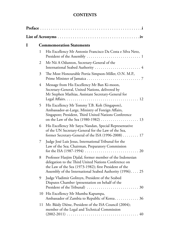#### **CONTENTS**

| I | <b>Commemoration Statements</b> |                                                                                                                                                                                                                                        |  |  |  |
|---|---------------------------------|----------------------------------------------------------------------------------------------------------------------------------------------------------------------------------------------------------------------------------------|--|--|--|
|   | 1                               | His Excellency Mr Antonio Francisco Da Costa e Silva Neto,                                                                                                                                                                             |  |  |  |
|   | 2                               | Mr Nii A Odunton, Secretary-General of the<br>International Seabed Authority  4                                                                                                                                                        |  |  |  |
|   | 3                               | The Most Honourable Portia Simpson-Miller, O.N. M.P.,                                                                                                                                                                                  |  |  |  |
|   | 4                               | Message from His Excellency Mr Ban Ki-moon,<br>Secretary-General, United Nations, delivered by<br>Mr Stephen Mathias, Assistant Secretary-General for                                                                                  |  |  |  |
|   | 5                               | His Excellency Mr Tommy T.B. Koh (Singapore),<br>Ambassador-at-Large, Ministry of Foreign Affairs,<br>Singapore; President, Third United Nations Conference                                                                            |  |  |  |
|   | 6                               | His Excellency Mr Satya Nandan, Special Representative<br>of the UN Secretary-General for the Law of the Sea,<br>former Secretary-General of the ISA $(1996-2008)$ 17                                                                  |  |  |  |
|   | 7                               | Judge José Luis Jesus, International Tribunal for the<br>Law of the Sea; Chairman, Preparatory Commission                                                                                                                              |  |  |  |
|   | 8                               | Professor Hasjim Djalal, former member of the Indonesian<br>delegation to the Third United Nations Conference on<br>the Law of the Sea (1973-1982); first President of the<br>Assembly of the International Seabed Authority (1996) 25 |  |  |  |
|   | 9                               | Judge Vladimir Golitsyn, President of the Seabed<br>Disputes Chamber (presentation on behalf of the                                                                                                                                    |  |  |  |
|   | 10                              | His Excellency Mr Mumba Kapumpa,<br>Ambassador of Zambia to Republic of Korea 36                                                                                                                                                       |  |  |  |
|   | 11                              | Mr. Bäidy Diène, President of the ISA Council (2004);<br>member of the Legal and Technical Commission                                                                                                                                  |  |  |  |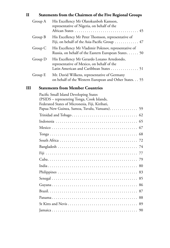## **II Statements from the Chairmen of the Five Regional Groups** Group A His Excellency Mr Olatokunboh Kamson,

|         | representative of Nigeria, on behalf of the                                                                                         |
|---------|-------------------------------------------------------------------------------------------------------------------------------------|
| Group B | His Excellency Mr Peter Thomson, representative of<br>Fiji, on behalf of the Asia-Pacific Group $\dots \dots \dots \dots$ 47        |
| Group C | His Excellency Mr Vladimir Polenov, representative of<br>Russia, on behalf of the Eastern European States 50                        |
| Group D | His Excellency Mr Gerardo Lozano Arredondo,<br>representative of Mexico, on behalf of the<br>Latin American and Caribbean States 51 |
| Group E | Mr. David Wilkens, representative of Germany<br>on behalf of the Western European and Other States 55                               |

#### **III Statements from Member Countries**

| Pacific Small Island Developing States                                                        |  |  |  |  |  |  |
|-----------------------------------------------------------------------------------------------|--|--|--|--|--|--|
| (PSIDS – representing Tonga, Cook Islands,<br>Federated States of Micronesia, Fiji, Kiribati, |  |  |  |  |  |  |
| Papua New Guinea, Samoa, Tuvalu, Vanuatu). 59                                                 |  |  |  |  |  |  |
|                                                                                               |  |  |  |  |  |  |
|                                                                                               |  |  |  |  |  |  |
|                                                                                               |  |  |  |  |  |  |
|                                                                                               |  |  |  |  |  |  |
|                                                                                               |  |  |  |  |  |  |
|                                                                                               |  |  |  |  |  |  |
|                                                                                               |  |  |  |  |  |  |
|                                                                                               |  |  |  |  |  |  |
|                                                                                               |  |  |  |  |  |  |
|                                                                                               |  |  |  |  |  |  |
|                                                                                               |  |  |  |  |  |  |
|                                                                                               |  |  |  |  |  |  |
|                                                                                               |  |  |  |  |  |  |
|                                                                                               |  |  |  |  |  |  |
|                                                                                               |  |  |  |  |  |  |
|                                                                                               |  |  |  |  |  |  |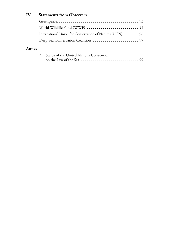### **IV Statements from Observers**

| International Union for Conservation of Nature (IUCN) 96 |  |
|----------------------------------------------------------|--|
|                                                          |  |

#### **Annex**

| A Status of the United Nations Convention |  |  |  |  |
|-------------------------------------------|--|--|--|--|
|                                           |  |  |  |  |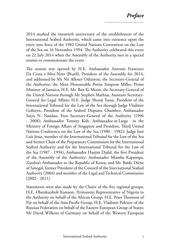2014 marked the twentieth anniversary of the establishment of the International Seabed Authority, which came into existence upon the entry into force of the 1982 United Nations Convention on the Law of the Sea on 16 November 1994. The Authority celebrated this event on 22 July 2014 when the Assembly of the Authority met in a special session to commemorate the event.

The session was opened by H.E. Ambassador Antonio Francisco Da Costa e Silva Neto (Brazil), President of the Assembly for 2014, and addressed by Mr Nii Allotey Odunton, the Secretary-General of the Authority; the Most Honourable Portia Simpson Miller, Prime Minister of Jamaica; H.E. Mr. Ban Ki Moon, the Secretary-General of the United Nations through Mr Stephen Mathias, Assistant Secretary-General for Legal Affairs; H.E. Judge Shunji Yanai, President of the International Tribunal for the Law of the Sea through Judge Vladimir Golitsyn, President of the Seabed Disputes Chamber; Ambassador Satya N. Nandan, First Secretary-General of the Authority (1996 - 2008); Ambassador Tommy Koh, Ambassador-at-Large in the Ministry of Foreign Affairs of Singapore and President, Third United Nations Conference on the Law of the Sea (1980 - 1982); Judge José Luis Jesus, member of the International Tribunal for the Law of the Sea and former Chair of the Preparatory Commission for the International Seabed Authority and for the International Tribunal for the Law of the Sea (1987 - 1994); Ambassador Hasjim Djalal, the first President of the Assembly of the Authority; Ambassador Mumba Kapumpa, Zambia's Ambassador to the Republic of Korea; and Mr. Baïdy Diène of Senegal, former President of the Council of the International Seabed Authority (2004) and member of the Legal and Technical Commission  $(2002 - 2011).$ 

Statements were also made by the Chairs of the five regional groups; H.E. Olatokunboh Kamson, Permanent Representative of Nigeria to the Authority on behalf of the African Group; H.E. Peter Thomson of Fiji on behalf of the Asia-Pacific Group; H.E. Vladimir Polenov of the Russian Federation on behalf of the Eastern European Group of States; Mr David Wilkens of Germany on behalf of the Western European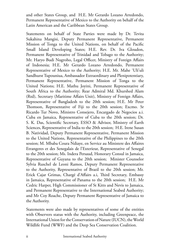and other States Group, and H.E. Mr Gerardo Lozano Arredondo, Permanent Representative of Mexico to the Authority on behalf of the Latin American and the Caribbean States Group.

Statements on behalf of State Parties were made by Dr. Tevita Sukahina Mangisi, Deputy Permanent Representative, Permanent Mission of Tonga to the United Nations, on behalf of the Pacific Small Island Developing States; H.E. Rev. Dr. Iva Gloudon, Permanent Representative of Trinidad and Tobago to the Authority; Mr. Haryo Budi Nugroho, Legal Officer, Ministry of Foreign Affairs of Indonesia; H.E. Mr Gerardo Lozano Arredondo, Permanent Representative of Mexico to the Authority; H.E. Mr. Mahe 'Uli'uli Sandhurst Tupouniua, Ambassador Extraordinary and Plenipotentiary, Permanent Representative, Permanent Mission of Tonga to the United Nations; H.E. Mathu Joyini, Permanent Representative of South Africa to the Authority; Rear Admiral Md. Khurshed Alam (Rtd), Secretary (Maritime Affairs Unit), Ministry of Foreign Affairs, Representative of Bangladesh to the 20th session; H.E. Mr Peter Thomson, Representative of Fiji to the 20th session; Excmo. Sr Ricardo Tur Novo, Ministro Consejero, Encargado de Negocios a.i. Cuba en Jamaica, Representative of Cuba to the 20th session; Dr. S. K. Das, Scientific Secretary, ESSO & Advisor, Ministry of Earth Sciences, Representative of India to the 20th session; H.E. Irene Susan B. Natividad, Deputy Permanent Representative, Permanent Mission to the United Nations, Representative of the Philippines to the 20th session; M. Mbaba Coura Ndiaye, en Service au Ministere des Affaires Etrangeres et des Senegalais de l'Exterieur, Representative of Senegal to the 20th session; Ms. Indera Persaud, Honorary Consul in Jamaica, Representative of Guyana to the 20th session; Minister Counselor Sylvia Ruschel de Leoni Ramos, Deputy Permanent Representative to the Authority, Representative of Brazil to the 20th session; Mr. Erick Cajar Grimas, Chargé d'Affairs a.i, Third Secretary, Embassy in Jamaica, Representative of Panama to the 20th session; H.E. Mr Cedric Harper, High Commissioner of St Kitts and Nevis to Jamaica, and Permanent Representative to the International Seabed Authority; and Mr Coy Roache, Deputy Permanent Representative of Jamaica to the Authority.

Statements were also made by representatives of some of the entities with Observers status with the Authority, including Greenpeace, the International Union for the Conservation of Nature (IUCN), the World Wildlife Fund (WWF) and the Deep Sea Conservation Coalition.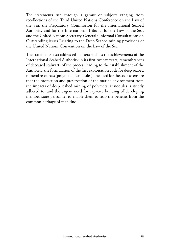The statements run through a gamut of subjects ranging from recollections of the Third United Nations Conference on the Law of the Sea, the Preparatory Commission for the International Seabed Authority and for the International Tribunal for the Law of the Sea, and the United Nations Secretary-General's Informal Consultations on Outstanding issues Relating to the Deep Seabed mining provisions of the United Nations Convention on the Law of the Sea.

The statements also addressed matters such as the achievements of the International Seabed Authority in its first twenty years, remembrances of deceased stalwarts of the process leading to the establishment of the Authority, the formulation of the first exploitation code for deep seabed mineral resources (polymetallic nodules), the need for the code to ensure that the protection and preservation of the marine environment from the impacts of deep seabed mining of polymetallic nodules is strictly adhered to, and the urgent need for capacity building of developing member state personnel to enable them to reap the benefits from the common heritage of mankind.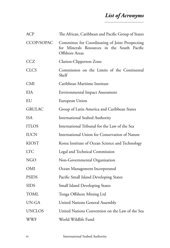# *List of Acronyms*

| <b>ACP</b>    | The African, Caribbean and Pacific Group of States                                                               |
|---------------|------------------------------------------------------------------------------------------------------------------|
| CCOP/SOPAC    | Committee for Coordinating of Joint Prospecting<br>for Minerals Resources in the South Pacific<br>Offshore Areas |
| <b>CCZ</b>    | Clarion-Clipperton Zone                                                                                          |
| <b>CLCS</b>   | Commission on the Limits of the Continental<br>Shelf                                                             |
| <b>CMI</b>    | Caribbean Maritime Institute                                                                                     |
| EIA           | <b>Environmental Impact Assessment</b>                                                                           |
| EU            | European Union                                                                                                   |
| <b>GRULAC</b> | Group of Latin America and Caribbean States                                                                      |
| <b>ISA</b>    | <b>International Seabed Authority</b>                                                                            |
| <b>ITLOS</b>  | International Tribunal for the Law of the Sea                                                                    |
| <b>IUCN</b>   | International Union for Conservation of Nature                                                                   |
| <b>KIOST</b>  | Korea Institute of Ocean Science and Technology                                                                  |
| <b>LTC</b>    | Legal and Technical Commission                                                                                   |
| <b>NGO</b>    | Non-Governmental Organisation                                                                                    |
| OMI           | Ocean Management Incorporated                                                                                    |
| <b>PSIDS</b>  | Pacific Small Island Developing States                                                                           |
| <b>SIDS</b>   | <b>Small Island Developing States</b>                                                                            |
| <b>TOML</b>   | Tonga Offshore Mining Ltd                                                                                        |
| UN-GA         | <b>United Nations General Assembly</b>                                                                           |
| <b>UNCLOS</b> | United Nations Convention on the Law of the Sea                                                                  |
| WWF           | World Wildlife Fund                                                                                              |

iv International Seabed Authority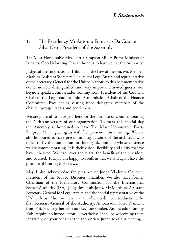#### 1. His Excellency Mr Antonio Francisco Da Costa e Silva Neto, President of the Assembly

The Most Honourable Mrs. Portia Simpson Miller, Prime Minister of Jamaica, Good Morning. It is an honour to have you at the Authority.

Judges of the International Tribunal of the Law of the Sea, Mr. Stephen Mathias, Assistant Secretary-General for Legal Affairs and representative of the Secretary-General for the United Nations to this commemorative event; notable distinguished and very important invited guests, our keynote speaker, Ambassador Tommy Koh; President of the Council; Chair of the Legal and Technical Commission, Chair of the Finance Committee, Excellencies, distinguished delegates; members of the observer groups, ladies and gentlemen.

We are grateful to have you here for the purpose of commemorating the 20th anniversary of our organization. To mark this special day the Assembly is honoured to have The Most Honourable Portia Simpson Miller gracing us with her presence this morning. We are also honoured to have present among us some of the architects who toiled to lay the foundation for the organization and whose existence we are commemorating. It is their vision, flexibility and unity that we have inherited. We had, over the years, the benefit of their wisdom and counsel. Today, I am happy to confirm that we will again have the pleasure of hearing their views.

May I also acknowledge the presence of Judge Vladimir Golitsyn, President of the Seabed Disputes Chamber. We also have former Chairman of the Preparatory Commission for the International Seabed Authority (ISA), Judge Jose Luis Jesus, Mr Matthias, Assistant Secretary-General for Legal Affairs and the special representative of the UN with us. Also, we have a man who needs no introduction, the first Secretary-General of the Authority, Ambassador Satya Nandan, from Fiji. He, together with our keynote speaker, Ambassador Tommy Koh, require no introduction. Nevertheless I shall be welcoming them separately, on your behalf at the appropriate juncture of our meeting.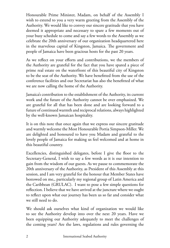Honourable Prime Minister, Madam, on behalf of the Assembly I wish to extend to you a very warm greeting from the Assembly of the Authority. We would like to convey our sincere gratitude that you have deemed it appropriate and necessary to spare a few moments out of your busy schedule to come and say a few words to the Assembly as we celebrate the 20th anniversary of our organization headquartered here in the marvelous capital of Kingston, Jamaica. The government and people of Jamaica have been gracious hosts for the past 20 years.

As we reflect on your efforts and contributions, we the members of the Authority are grateful for the fact that you have spared a piece of prime real estate on the waterfront of this beautiful city of Kingston to be the seat of the Authority. We have benefitted from the use of the conference facilities and our Secretariat has also the benefitted of what we are now calling the home of the Authority.

Jamaica's contribution to the establishment of the Authority, its current work and the future of the Authority cannot be over emphasized. We are grateful for all that has been done and are looking forward to a future of continued warmth and reciprocal relations, always highlighted by the well-known Jamaican hospitality.

It is on this note that once again that we express our sincere gratitude and warmly welcome the Most Honourable Portia Simpson-Miller. We are delighted and honoured to have you Madam and grateful to the lovely people of Jamaica for making us feel welcomed and at home in this beautiful country.

Excellencies, distinguished delegates, before I give the floor to the Secretary-General, I wish to say a few words as it is our intention to gain from the wisdom of our guests. As we pause to commemorate the 20th anniversary of the Authority, as President of this Assembly at this session, and I am very grateful for the honour that Member States have bestowed on me,, particularly my regional group of Latin America and the Caribbean (GRULAC). I want to pose a few simple questions for reflection. I believe that we have arrived at the juncture where we ought to reflect upon what our journey has been us so far and consider what we still need to do.

We should ask ourselves what kind of organization we would like to see the Authority develop into over the next 20 years. Have we been equipping our Authority adequately to meet the challenges of the coming years? Are the laws, regulations and rules governing the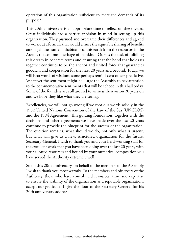operation of this organization sufficient to meet the demands of its purpose?

This 20th anniversary is an appropriate time to reflect on these issues. Great individuals had a particular vision in mind in setting up this organization. They pursued and overcame their differences and agreed to work out a formula that would ensure the equitable sharing of benefits among all the human inhabitants of this earth from the resources in the Area as the common heritage of mankind. Ours is the task of fulfilling this dream in concrete terms and ensuring that the bond that holds us together continues to be the anchor and united force that guarantees goodwill and cooperation for the next 20 years and beyond. Today, we will hear words of wisdom; some perhaps reminiscent others predictive. Whatever the sentiment might be I urge the Assembly to pay attention to the commemorative sentiments that will be echoed in this hall today. Some of the founders are still around to witness their vision 20 years on and we hope they like what they are seeing.

Excellencies, we will not go wrong if we root our words solidly in the 1982 United Nations Convention of the Law of the Sea (UNCLOS) and the 1994 Agreement. This guiding foundation, together with the decisions and other agreements we have made over the last 20 years continue to provide the blueprint for the success of the organization. The question remains, what should we do, not only what is urgent, but what will give us a new, structured organization for the future. Secretary-General, I wish to thank you and your hard-working staff for the excellent work that you have been doing over the last 20 years, with your allotted resources and bound by your numerical composition you have served the Authority extremely well.

So on this 20th anniversary, on behalf of the members of the Assembly I wish to thank you most warmly. To the members and observers of the Authority, those who have contributed resources, time and expertise to ensure the viability of the organization as a reputable organization, accept our gratitude. I give the floor to the Secretary-General for his 20th anniversary address.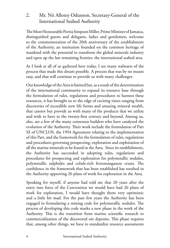## 2. Mr. Nii Allotey Odunton, Secretary-General of the International Seabed Authority

The Most Honourable Portia Simpson Miller, Prime Minister of Jamaica, distinguished guests and delegates, ladies and gentlemen, welcome to the commemoration of the 20th anniversary of the establishment of the Authority, an institution founded on the common heritage of mankind with the potential to transform the global minerals industry and open up the last remaining frontier, the international seabed area.

As I look at all of us gathered here today, I see many stalwarts of the process that made this dream possible. A process that was by no means easy, and that will continue to provide us with many challenges.

Our knowledge of the Area is limited but, as a result of the determination of the international community to expand its resource base through the formulation of rules, regulations and procedures to harness these resources, it has brought us to the edge of exciting times ranging from discoveries of incredible new life forms and amazing mineral wealth, that cannot but provide us with many of the products that we utilize and wish to have in the twenty-first century and beyond. Among us, also, are a few of the many consensus builders who have catalyzed the evolution of the Authority. Their work include the formulation of Part XI of UNCLOS, the 1994 Agreement relating to the implementation of this Part, and the framework for the formulation of rules, regulations and procedures governing prospecting, exploration and exploitation of all the marine minerals to be found in the Area. Since its establishment, the Authority has succeeded in adopting rules, regulations and procedures for prospecting and exploration for polymetallic nodules, polymetallic sulphides and cobalt-rich ferromanganese crusts. The confidence in the framework that has been established has resulted in the Authority approving 26 plans of work for exploration in the Area.

Speaking for myself, if anyone had told me that 20 years after the entry into force of the Convention we would have had 26 plans of work for exploration, I would have thought them very optimistic and a little bit mad. For the past few years the Authority has been engaged in formulating a mining code for polymetallic nodules. The process of developing this code marks a new phase in the work of the Authority. This is the transition from marine scientific research to commercialization of the discovered ore deposits. This phase requires that, among other things, we have to standardize resource assessments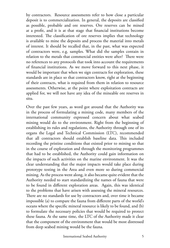by contractors. Resource assessments refer to how close a particular deposit is to commercialization. In general, the deposits are classified as possible, probable and ore reserves. Ore reserves can be mined at a profit, and it is at that stage that financial institutions become interested. The classification of ore reserves implies that technology is available to mine the deposits and process the material into metals of interest. It should be recalled that, in the past, what was expected of contractors were, e.g. samples. What did the samples contain in relation to the metals that commercial entities were after? There were no references to any protocols that took into account the requirements of financial institutions. As we move forward to this next phase, it would be important that when we sign contracts for exploration, these standards are in place so that contractors know, right at the beginning of their contracts, what is required from them in relation to resource assessments. Otherwise, at the point where exploitation contracts are applied for, we will not have any idea of the mineable ore reserves in situ.

Over the past few years, as word got around that the Authority was in the process of formulating a mining code, many members of the international community expressed concern about what seabed mining would do to the environment. Right from the beginning of establishing its rules and regulations, the Authority through one of its organs the Legal and Technical Commission (LTC), recommended that all contractors should establish baseline data. This included recording the pristine conditions that existed prior to mining so that in the course of exploration and through the monitoring programmes that had to be established, the Authority could gain information on the impacts of such activities on the marine environment. It was the clear understanding that the major impacts would take place during prototype testing in the Area and even more so during commercial mining. As the process went along, it also became quite evident that the Authority needed to start standardizing the names of fauna that were to be found in different exploration areas. Again, this was identical to the problems that have arisen with assessing the mineral resources. There are no standards for use by contractors and, over time it became impossible (a) to compare the fauna from different parts of the world's oceans where the specific mineral resource is likely to be found, and (b) to formulate the necessary policies that would be required to protect these fauna. At the same time, the LTC of the Authority made it clear that the component of the environment that would be most distressed from deep seabed mining would be the fauna.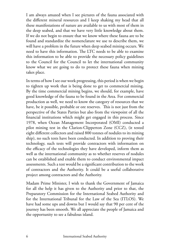I am always amazed when I see pictures of the fauna associated with the different mineral resources and I keep shaking my head that all these manifestations of nature are available to us with most of them in the deep seabed, and that we have very little knowledge about them. If we do not begin to ensure that we know where these fauna are to be found and standardize the nomenclature we use to describe them, we will have a problem in the future when deep seabed mining occurs. We need to have this information. The LTC needs to be able to examine this information to be able to provide the necessary policy guidelines to the Council for the Council to let the international community know what we are going to do to protect these fauna when mining takes place.

In terms of how I see our work progressing, this period is when we begin to tighten up work that is being done to get to commercial mining. By the time commercial mining begins, we should, for example, have good knowledge of the fauna to be found in the Area. For commercial production as well, we need to know the category of resources that we have, be it possible, probable or ore reserves. This is not just from the perspective of the States Parties but also from the viewpoint of all the financial institutions which might get engaged in this process. Since 1978, when Ocean Management Incorporated (OMI) conducted a pilot mining test in the Clarion-Clipperton Zone (CCZ), (it tested eight different collectors and raised 800 tonnes of nodules to its mining ship), no such tests have been conducted. In addition to proving their technology, such tests will provide contractors with information on the efficacy of the technologies they have developed, inform them as well as the international community as to whether reserves of nodules can be established and enable them to conduct environmental impact assessments. Such a test would be a significant contribution to the work of contractors and the Authority. It could be a useful collaborative project among contractors and the Authority.

Madam Prime Minister, I wish to thank the Government of Jamaica for all the help it has given to the Authority and prior to that, the Preparatory Commission for the International Seabed Authority and for the International Tribunal for the Law of the Sea (ITLOS). We have had some ups and downs but I would say that 90 per cent of the journey has been smooth. We all appreciate the people of Jamaica and the opportunity to see a fabulous island.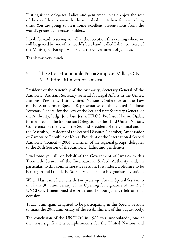Distinguished delegates, ladies and gentlemen, please enjoy the rest of the day. I have known the distinguished guests here for a very long time. You are going to hear some excellent presentations from the world's greatest consensus builders.

I look forward to seeing you all at the reception this evening where we will be graced by one of the world's best bands called Fab 5, courtesy of the Ministry of Foreign Affairs and the Government of Jamaica.

Thank you very much.

3. The Most Honourable Portia Simpson-Miller, O.N. M.P., Prime Minister of Jamaica

President of the Assembly of the Authority; Secretary General of the Authority; Assistant Secretary‐General for Legal Affairs in the United Nations; President, Third United Nations Conference on the Law of the Sea; former Special Representative of the United Nations; Secretary General for the Law of the Sea and first Secretary General of the Authority; Judge Jose Luis Jesus, ITLOS; Professor Hasjim Djalal, former Head of the Indonesian Delegation to the Third United Nations Conference on the Law of the Sea and President of the Council and of the Assembly; President of the Seabed Disputes Chamber; Ambassador of Zambia to Republic of Korea; President of the International Seabed Authority Council – 2004; chairmen of the regional groups; delegates to the 20th Session of the Authority; ladies and gentlemen

I welcome you all, on behalf of the Government of Jamaica to this Twentieth Session of the International Seabed Authority and, in particular, to this commemorative session. It is indeed a pleasure to be here again and I thank the Secretary‐General for his gracious invitation.

When I last came here, exactly two years ago, for the Special Session to mark the 30th anniversary of the Opening for Signature of the 1982 UNCLOS, I mentioned the pride and honour Jamaica felt on that occasion.

Today, I am again delighted to be participating in this Special Session to mark the 20th anniversary of the establishment of this august body.

The conclusion of the UNCLOS in 1982 was, undoubtedly, one of the most significant accomplishments for the United Nations and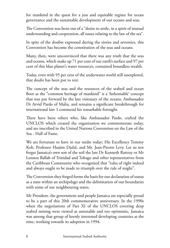for mankind in the quest for a just and equitable regime for ocean governance and the sustainable development of our oceans and seas.

The Convention was born out of a "desire to settle, in a spirit of mutual understanding and cooperation, all issues relating to the law of the sea".

In spite of the doubts expressed during the sixties and seventies, this Convention has become the constitution of the seas and oceans.

Many, then, were unconvinced that there was any truth that the seas and oceans, which make up 71 per cent of our earth's surface and 97 per cent of this blue planet's water resources, contained boundless wealth.

Today, even with 95 per cent of the underwater world still unexplored, that doubt has been put to rest.

The concept of the seas and the resources of the seabed and ocean floor as the "common heritage of mankind" is a 'fathomable' concept that was put forward by the late visionary of the oceans, Ambassador Dr Arvid Pardo of Malta, and remains a significant breakthrough for international law. I commend his remarkable foresight.

There have been others who, like Ambassador Pardo, crafted the UNCLOS which created the organization we commemorate today, and are inscribed in the United Nations Convention on the Law of the Sea ‐ Hall of Fame.

We are fortunate to have in our midst today; His Excellency Tommy Koh, Professor Hasjim Djalal, and Mr. Jean‐Pierrre Levy. Let us not forget Jamaica's own son of the soil the late Dr Kenneth Rattray or Mr Lennox Ballah of Trinidad and Tobago and other representatives from the Caribbean Community who recognized that "rules of right indeed and always ought to be made to triumph over the rule of might".

The Convention they forged forms the basis for our declaration of status as a state within an archipelago and the delimitation of our boundaries with some of our neighbouring states.

Mr President, the government and people Jamaica are especially proud to be a part of this 20th commemorative anniversary. In the 1990s when the negotiations of Part XI of the UNCLOS covering deep seabed mining were viewed as untenable and too optimistic, Jamaica was among that group of keenly interested developing countries at the time, working towards its adoption in 1994.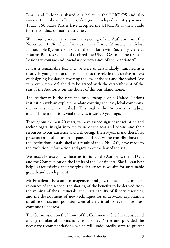Brazil and Indonesia shared our belief in the UNCLOS and also worked tirelessly with Jamaica, alongside developed country partners. Today, 166 States Parties have accepted the UNCLOS as their guide for the conduct of marine activities.

We proudly recall the ceremonial opening of the Authority on 16th November 1994 when, Jamaica's then Prime Minister, the Most Honourable P.J. Patterson shared the platform with Secretary‐General Boutros Boutros Ghali and declared the UNCLOS to be the result of "visionary courage and legendary perseverance of the negotiators".

It was a remarkable feat and we were understandably humbled as a relatively young nation to play such an active role in the creative process of designing legislation covering the law of the sea and the seabed. We were even more delighted to be graced with the establishment of the seat of the Authority on the shores of this our island home.

The Authority is the first and only example of a United Nations institution with an explicit mandate covering the last global commons, the oceans and the seabed. This makes the Authority a radical establishment that is as vital today as it was 20 years ago.

Throughout the past 20 years, we have gained significant scientific and technological insight into the value of the seas and oceans and their resources to our existence and well‐being. The 20‐year mark, therefore, presents an ideal occasion to pause and review the contributions that the institutions, established as a result of the UNCLOS, have made to the evolution, reformation and growth of the law of the sea.

We must also assess how these institutions – the Authority, the ITLOS, and the Commission on the Limits of the Continental Shelf – can best help us face existing and emerging challenges as we aim for sustainable growth and development.

Mr President, the sound management and governance of the mineral resources of the seabed; the sharing of the benefits to be derived from the mining of those minerals; the sustainability of fishery resources; and the development of new techniques for underwater exploitation of oil resources and pollution control are critical issues that we must continue to address.

The Commission on the Limits of the Continental Shelf has considered a large number of submissions from States Parties and provided the necessary recommendations, which will undoubtedly serve to protect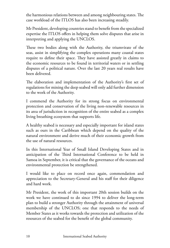the harmonious relations between and among neighbouring states. The case workload of the ITLOS has also been increasing steadily.

Mr President, developing countries stand to benefit from the specialized expertise the ITLOS offers in helping them solve disputes that arise in interpreting and applying the UNCLOS.

These two bodies along with the Authority, the triumvirate of the seas, assist in simplifying the complex operations many coastal states require to define their space. They have assisted greatly in claims to the economic resources to be found in territorial waters or in settling disputes of a political nature. Over the last 20 years real results have been delivered.

The elaboration and implementation of the Authority's first set of regulations for mining the deep seabed will only add further dimension to the work of the Authority.

I commend the Authority for its strong focus on environmental protection and conservation of the living non‐renewable resources in its area of jurisdiction in recognition of the entire seabed as a complex living breathing ecosystem that supports life.

A healthy seabed is necessary and especially important for island states such as ours in the Caribbean which depend on the quality of the natural environment and derive much of their economic growth from the use of natural resources.

In this International Year of Small Island Developing States and in anticipation of the Third International Conference to be held in Samoa in September, it is critical that the governance of the oceans and environmental protection be strengthened.

I would like to place on record once again, commendation and appreciation to the Secretary‐General and his staff for their diligence and hard work.

Mr President, the work of this important 20th session builds on the work we have continued to do since 1994 to deliver the long‐term plan to build a stronger Authority through the attainment of universal membership of the UNCLOS; one that responds to the needs of Member States as it works towards the protection and utilization of the resources of the seabed for the benefit of the global community.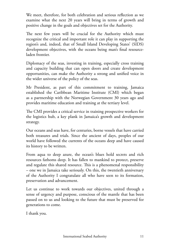We meet, therefore, for both celebration and serious reflection as we examine what the next 20 years will bring in terms of growth and positive change in the goals and objectives set for the Authority.

The next few years will be crucial for the Authority which must recognize the critical and important role it can play in supporting the region's and, indeed, that of Small Island Developing States' (SIDS) development objectives, with the oceans being man's final resourceladen frontier.

Diplomacy of the seas, investing in training, especially cross training and capacity building that can open doors and create development opportunities, can make the Authority a strong and unified voice in the wider universe of the policy of the seas.

Mr President, as part of this commitment to training, Jamaica established the Caribbean Maritime Institute (CMI) which began as a partnership with the Norwegian Government 30 years ago and provides maritime education and training at the tertiary level.

The CMI provides a critical service in training prospective workers for the logistics hub, a key plank in Jamaica's growth and development strategy.

Our oceans and seas have, for centuries, borne vessels that have carried both treasures and trials. Since the ancient of days, peoples of our world have followed the currents of the oceans deep and have caused its history to be written.

From aqua to deep azure, the ocean's blues hold secrets and rich resources fathoms deep. It has fallen to mankind to protect, preserve and regulate this shared resource. This is a phenomenal responsibility – one we in Jamaica take seriously. On this, the twentieth anniversary of the Authority I congratulate all who have seen to its formation, preservation and advancement.

Let us continue to work towards our objectives, united through a sense of urgency and purpose, conscious of the mantle that has been passed on to us and looking to the future that must be preserved for generations to come.

I thank you.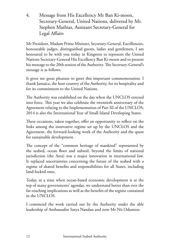4. Message from His Excellency Mr Ban Ki-moon, Secretary-General, United Nations, delivered by Mr. Stephen Mathias, Assistant Secretary-General for Legal Affairs

Mr President, Madam Prime Minister, Secretary-General, Excellencies, honourable judges, distinguished guests, ladies and gentlemen, I am honoured to be with you today in Kingston to represent the United Nations Secretary-General His Excellency Ban Ki-moon and to present his message to the 20th session of the Authority. The Secretary-General's message is as follows.

It gives me great pleasure to greet this important commemoration. I thank Jamaica, the host country of the Authority, for its hospitality and for its commitment to the United Nations.

The Authority was established on the day when the UNCLOS entered into force. This year we also celebrate the twentieth anniversary of the Agreement relating to the Implementation of Part XI of the UNCLOS; 2014 is also the International Year of Small Island Developing States.

These occasions, taken together, offer an opportunity to reflect on the links among the innovative regime set up by the UNCLOS and the Agreement, the forward-looking work of the Authority and the quest for sustainable development.

The concept of the "common heritage of mankind" represented by the seabed, ocean floor and subsoil, beyond the limits of national jurisdiction (the Area) was a major innovation in international law. It replaced uncertainties concerning the future of the seabed with a regime of shared benefits and responsibilities for all States, including land-locked ones.

Today, at a time when ocean-based economic development is at the top of many governments' agendas, we understand better than ever the far-reaching implications as well as the benefits of the regime contained in the UNCLOS.

I commend the work carried out by the Authority under the able leadership of Ambassador Satya Nandan and now Mr Nii Odunton.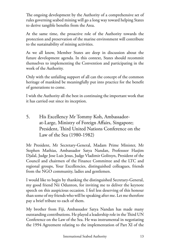The ongoing development by the Authority of a comprehensive set of rules governing seabed mining will go a long way toward helping States to derive tangible benefits from the Area.

At the same time, the proactive role of the Authority towards the protection and preservation of the marine environment will contribute to the sustainability of mining activities.

As we all know, Member States are deep in discussion about the future development agenda. In this context, States should recommit themselves to implementing the Convention and participating in the work of the Authority.

Only with the unfailing support of all can the concept of the common heritage of mankind be meaningfully put into practice for the benefit of generations to come.

I wish the Authority all the best in continuing the important work that it has carried out since its inception.

5. His Excellency Mr Tommy Koh, Ambassadorat-Large, Ministry of Foreign Affairs, Singapore; President, Third United Nations Conference on the Law of the Sea (1980-1982)

Mr President, Mr Secretary-General, Madam Prime Minister, Mr Stephen Mathias, Ambassador Satya Nandan, Professsor Hasjim Djalal, Judge Jose Luis Jesus, Judge Vladimir Golitsyn, President of the Council and chairmen of the Finance Committee and the LTC and regional groups, Your Excellencies, distinguished colleagues, friends from the NGO community, ladies and gentlemen.

I would like to begin by thanking the distinguished Secretary-General, my good friend Nii Odunton, for inviting me to deliver the keynote speech on this auspicious occasion. I feel less deserving of this honour than some of my friends who will be speaking after me. Let me therefore pay a brief tribute to each of them.

My brother from Fiji, Ambassador Satya Nandan has made many outstanding contributions. He played a leadership role in the Third UN Conference on the Law of the Sea. He was instrumental in negotiating the 1994 Agreement relating to the implementation of Part XI of the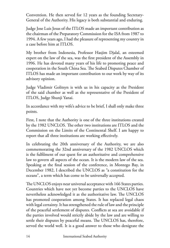Convention. He then served for 12 years as the founding Secretary-General of the Authority. His legacy is both substantial and enduring.

Judge Jose Luis Jesus of the ITLOS made an important contribution as the chairman of the Preparatory Commission for the ISA from 1987 to 1994. A few years ago, I had the pleasure of representing my country in a case before him at ITLOS.

My brother from Indonesia, Professor Hasjim Djalal, an esteemed expert on the law of the sea, was the first president of the Assembly in 1996. He has devoted many years of his life to promoting peace and cooperation in the South China Sea. The Seabed Disputes Chamber of ITLOS has made an important contribution to our work by way of its advisory opinion.

Judge Vladimir Golitsyn is with us in his capacity as the President of the said chamber as well as the representative of the President of ITLOS, Judge Shunji Yanai.

In accordance with my wife's advice to be brief, I shall only make three points.

First, I note that the Authority is one of the three institutions created by the 1982 UNCLOS. The other two institutions are ITLOS and the Commission on the Limits of the Continental Shelf. I am happy to report that all three institutions are working effectively.

In celebrating the 20th anniversary of the Authority, we are also commemorating the 32nd anniversary of the 1982 UNCLOS which is the fulfilment of our quest for an authoritative and comprehensive law to govern all aspects of the ocean. It is the modern law of the sea. Speaking at the final session of the conference, in Montego Bay, in December 1982, I described the UNCLOS as "a constitution for the oceans", a term which has come to be universally accepted.

The UNCLOS enjoys near universal acceptance with 166 States parties. Countries which have not yet become parties to the UNCLOS have nevertheless acknowledged it as the authoritative law. The UNCLOS has promoted cooperation among States. It has replaced legal chaos with legal certainty. It has strengthened the rule of law and the principle of the peaceful settlement of disputes. Conflicts at sea are avoidable if the parties involved would strictly abide by the law and are willing to settle their disputes by peaceful means. The UNCLOS has, therefore, served the world well. It is a good answer to those who denigrate the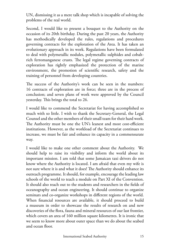UN, dismissing it as a mere talk shop which is incapable of solving the problems of the real world.

Second, I would like to present a bouquet to the Authority on the occasion of its 20th birthday. During the past 20 years, the Authority has methodically developed the rules, regulations and procedures governing contracts for the exploration of the Area. It has taken an evolutionary approach in its work. Regulations have been formulated to deal with polymetallic nodules, polymetallic sulphides and cobaltrich ferromanganese crusts. The legal regime governing contracts of exploration has rightly emphasized the protection of the marine environment, the promotion of scientific research, safety and the training of personnel from developing countries.

The success of the Authority's work can be seen in the numbers: 16 contracts of exploration are in force; three are in the process of conclusion; and seven plans of work were approved by the Council yesterday. This brings the total to 26.

I would like to commend the Secretariat for having accomplished so much with so little. I wish to thank the Secretary-General, the Legal Counsel and the other members of their small team for their hard work. The Authority must be one the UN's leanest and most cost-efficient institutions. However, as the workload of the Secretariat continues to increase, we must be fair and enhance its capacity in a commensurate way.

I would like to make one other comment about the Authority. We should help to raise its visibility and inform the world about its important mission. I am told that some Jamaican taxi drivers do not know where the Authority is located. I am afraid that even my wife is not sure where it is and what it does! The Authority should enhance its outreach programme. It should, for example, encourage the leading law schools of the world to teach a module on Part XI of the Convention. It should also reach out to the students and researchers in the fields of oceanography and ocean engineering. It should continue to organize seminars and co-organize workshops in different regions of the world. When financial resources are available, it should proceed to build a museum in order to showcase the results of research on and new discoveries of the flora, fauna and mineral resources of our last frontier, which covers an area of 160 million square kilometres. It is ironic that we seem to know more about outer space than we do about the seabed and ocean floor.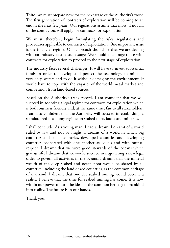Third, we must prepare now for the next stage of the Authority's work. The first generation of contracts of exploration will be coming to an end in the next few years. Our regulations assume that most, if not all, of the contractors will apply for contracts for exploitation.

We must, therefore, begin formulating the rules, regulations and procedures applicable to contracts of exploitation. One important issue is the financial regime. Our approach should be that we are dealing with an industry at a nascent stage. We should encourage those with contracts for exploration to proceed to the next stage of exploitation.

The industry faces several challenges. It will have to invest substantial funds in order to develop and perfect the technology to mine in very deep waters and to do it without damaging the environment. It would have to cope with the vagaries of the world metal market and competition from land-based sources.

Based on the Authority's track record, I am confident that we will succeed in adopting a legal regime for contracts for exploitation which is both business friendly and, at the same time, fair to all stakeholders. I am also confident that the Authority will succeed in establishing a standardized taxonomy regime on seabed flora, fauna and minerals.

I shall conclude. As a young man, I had a dream. I dreamt of a world ruled by law and not by might. I dreamt of a world in which big countries and small countries, developed countries and developing countries cooperated with one another as equals and with mutual respect. I dreamt that we were good stewards of the oceans which give us life. I dreamt that we would succeed in negotiating a new legal order to govern all activities in the oceans. I dreamt that the mineral wealth of the deep seabed and ocean floor would be shared by all countries, including the landlocked countries, as the common heritage of mankind. I dreamt that one day seabed mining would become a reality. I believe that the time for seabed mining has come. It is now within our power to turn the ideal of the common heritage of mankind into reality. The future is in our hands.

Thank you.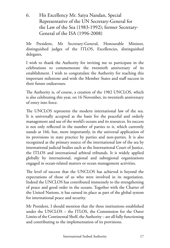6. His Excellency Mr. Satya Nandan, Special Representative of the UN Secretary-General for the Law of the Sea (1983-1992); former Secretary-General of the ISA (1996-2008)

Mr President, Mr Secretary‐General, Honourable Minister, distinguished judges of the ITLOS, Excellencies, distinguished delegates,

I wish to thank the Authority for inviting me to participate in the celebrations to commemorate the twentieth anniversary of its establishment. I wish to congratulate the Authority for reaching this important milestone and wish the Member States and staff success in their future endeavours.

The Authority is, of course, a creation of the 1982 UNCLOS, which is also celebrating this year, on 16 November, its twentieth anniversary of entry into force.

The UNCLOS represents the modern international law of the sea. It is universally accepted as the basis for the peaceful and orderly management and use of the world's oceans and its resources. Its success is not only reflected in the number of parties to it, which currently stands at 166, but, more importantly, in the universal application of its provisions in state practice by parties and non‐parties. It is also recognized as the primary source of the international law of the sea by international judicial bodies such as the International Court of Justice, the ITLOS and international arbitral tribunals. It is widely applied globally by international, regional and subregional organizations engaged in ocean‐related matters or ocean management activities.

The level of success that the UNCLOS has achieved is beyond the expectations of those of us who were involved in its negotiation. Indeed the UNCLOS has contributed immensely to the strengthening of peace and good order in the oceans. Together with the Charter of the United Nations, it has earned its place as part of the global system for international peace and security.

Mr President, I should mention that the three institutions established under the UNCLOS – the ITLOS, the Commission for the Outer Limits of the Continental Shelf, the Authority – are all fully functioning and contributing to the implementation of its provisions.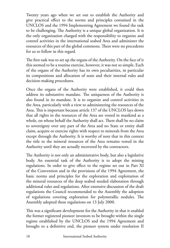Twenty years ago when we set out to establish the Authority and give practical effect to the norms and principles contained in the UNCLOS and the 1994 Implementing Agreement we found the task to be challenging. The Authority is a unique global organization. It is the only organization charged with the responsibility to organize and control activities in the international seabed Area and administer the resources of this part of the global commons. There were no precedents for us to follow in this regard.

The first task was to set up the organs of the Authority. On the face of it this seemed to be a routine exercise, however, it was not so simple. Each of the organs of the Authority has its own peculiarities, in particular its compositions and allocation of seats and their internal rules and decision‐making procedures.

Once the organs of the Authority were established, it could then address its substantive mandate. The uniqueness of the Authority is also found in its mandate. It is to organize and control activities in the Area, particularly with a view to administering the resources of the Area. This is important because article 137 of the UNCLOS lays down that all rights in the resources of the Area are vested in mankind as a whole, on whose behalf the Authority shall act. There shall be no claim to sovereignty over any part of the Area and no State or entity shall claim, acquire or exercise rights with respect to minerals from the Area except through the Authority. It is worthy of note that in this context the title to the mineral resources of the Area remains vested in the Authority until they are actually recovered by the contractors.

The Authority is not only an administrative body, but also a legislative body. An essential task of the Authority is to adopt the mining regulations. In order to give effect to the regime set out in Part XI of the Convention and in the provisions of the 1994 Agreement, the basic norms and principles for the exploration and exploitation of the mineral resources of the deep seabed needed elaboration through additional rules and regulations. After extensive discussion of the draft regulations the Council recommended to the Assembly the adoption of regulations covering exploration for polymetallic nodules. The Assembly adopted these regulations on 13 July 2000.

This was a significant development for the Authority in that it enabled the former registered pioneer investors to be brought within the single regime established by the UNCLOS and the 1994 Agreement and brought to a definitive end, the pioneer system under resolution II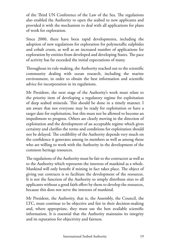of the Third UN Conference of the Law of the Sea. The regulations also enabled the Authority to open the seabed to new applicants and provided it with the mechanism to deal with all applications for plans of work for exploration.

Since 2000, there have been rapid developments, including the adoption of new regulations for exploration for polymetallic sulphides and cobalt crusts, as well as an increased number of applications for exploration by entities from developed and developing States. The pace of activity has far exceeded the initial expectations of many.

Throughout its rule‐making, the Authority reached out to the scientific community dealing with ocean research, including the marine environment, in order to obtain the best information and scientific advice for incorporation in its regulations.

Mr President, the next stage of the Authority's work must relate to the priority item of developing a regulatory regime for exploitation of deep seabed minerals. This should be done in a timely manner. I am aware that not everyone may be ready for exploitation or have a target date for exploitation, but this must not be allowed to become an impediment to progress. Others are clearly moving in the direction of exploitation and the development of an acceptable regime which gives certainty and clarifies the terms and conditions for exploitation should not be delayed. The credibility of the Authority depends very much on the confidence it generates among its members as well as among those who are willing to work with the Authority in the development of the common heritage resources.

The regulations of the Authority must be fair to the contractor as well as to the Authority which represents the interests of mankind as a whole. Mankind will only benefit if mining in fact takes place. The object of giving out contracts is to facilitate the development of the resources. It is not the function of the Authority to simply distribute sites to all applicants without a good faith effort by them to develop the resources, because this does not serve the interests of mankind.

Mr President, the Authority, that is, the Assembly, the Council, the LTC, must continue to be objective and fair in their decision‐making and, where appropriate, they must use the best available scientific information. It is essential that the Authority maintains its integrity and its reputation for objectivity and fairness.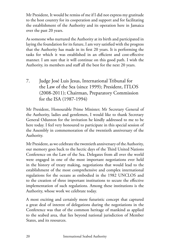Mr President, It would be remiss of me if I did not express my gratitude to the host country for its cooperation and support and for facilitating the establishment of the Authority and its operation here in Jamaica over the past 20 years.

As someone who nurtured the Authority at its birth and participated in laying the foundation for its future, I am very satisfied with the progress that the Authority has made in its first 20 years. It is performing the tasks for which it was established in an efficient and cost-effective manner. I am sure that it will continue on this good path. I wish the Authority, its members and staff all the best for the next 20 years.

7. Judge José Luis Jesus, International Tribunal for the Law of the Sea (since 1999); President, ITLOS (2008-2011); Chairman, Preparatory Commission for the ISA (1987-1994)

Mr President, Honourable Prime Minister; Mr Secretary General of the Authority, ladies and gentlemen, I would like to thank Secretary General Odunton for the invitation he kindly addressed to me to be here today. I feel very honoured to participate in this special session of the Assembly in commemoration of the twentieth anniversary of the Authority.

Mr President, as we celebrate the twentieth anniversary of the Authority, our memory goes back to the hectic days of the Third United Nations Conference on the Law of the Sea. Delegates from all over the world were engaged in one of the most important negotiations ever held in the history of treaty making, negotiations that would lead to the establishment of the most comprehensive and complex international regulations for the oceans as embodied in the 1982 UNCLOS and to the creation of three important institutions to secure the effective implementation of such regulations. Among these institutions is the Authority, whose work we celebrate today.

A most exciting and certainly more futuristic concept that captured a great deal of interest of delegations during the negotiations in the Conference was that of the common heritage of mankind as applied to the seabed area, that lies beyond national jurisdiction of Member States, and its resources.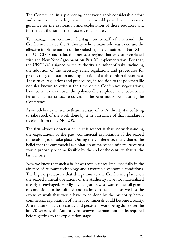The Conference, in a pioneering endeavour, took considerable effort and time to devise a legal regime that would provide the necessary guidance for the exploration and exploitation of those resources and for the distribution of the proceeds to all States.

To manage this common heritage on behalf of mankind, the Conference created the Authority, whose main role was to ensure the effective implementation of the seabed regime contained in Part XI of the UNCLOS and related annexes, a regime that was later enriched with the New York Agreement on Part XI implementation. For that, the UNCLOS assigned to the Authority a number of tasks, including the adoption of the necessary rules, regulations and procedures for prospecting, exploration and exploitation of seabed mineral resources. These rules, regulations and procedures, in addition to the polymetallic nodules known to exist at the time of the Conference negotiations, have come to also cover the polymetallic sulphides and cobalt-rich ferromanganese crusts, resources in the Area not known during the Conference.

As we celebrate the twentieth anniversary of the Authority it is befitting to take stock of the work done by it in pursuance of that mandate it received from the UNCLOS.

The first obvious observation in this respect is that, notwithstanding the expectations of the past, commercial exploitation of the seabed minerals is yet to take place. During the Conference, many shared the belief that the commercial exploitation of the seabed mineral resources would probably become feasible by the end of the century, that is, the last century.

Now we know that such a belief was totally unrealistic, especially in the absence of relevant technology and favourable economic conditions. The high expectations that delegations to the Conference placed on the seabed mineral operations of the Authority have not materialized as early as envisaged. Hardly any delegation was aware of the full gamut of conditions to be fulfilled and actions to be taken, as well as the extensive work that would have to be done by the Authority before commercial exploitation of the seabed minerals could become a reality. As a matter of fact, the steady and persistent work being done over the last 20 years by the Authority has shown the mammoth tasks required before getting to the exploitation stage.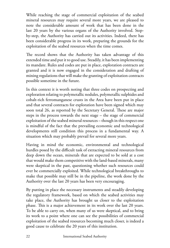While reaching the stage of commercial exploitation of the seabed mineral resources may require several more years, we are pleased to note the considerable amount of work that has been done in the last 20 years by the various organs of the Authority involved. Stepby-step, the Authority has carried out its activities. Indeed, there has been considerable progress in its work, preparing the grounds for the exploitation of the seabed resources when the time comes.

The record shows that the Authority has taken advantage of this extended time and put it to good use. Steadily, it has been implementing its mandate. Rules and codes are put in place, exploration contracts are granted and it is now engaged in the consideration and drafting of mining regulations that will make the granting of exploitation contracts possible sometime in the future.

In this context it is worth noting that three codes on prospecting and exploration relating to polymetallic nodules, polymetallic sulphides and cobalt-rich ferromanganese crusts in the Area have been put in place and that several contracts for exploration have been signed which may soon total 26, as reported by the Secretary General. These are major steps in the process towards the next stage – the stage of commercial exploitation of the seabed mineral resources – though in this respect one is mindful of the fact that the prevailing economic and technological developments still condition this process in a fundamental way. A situation which may probably prevail for several more years.

Having in mind the economic, environmental and technological hurdles posed by the difficult task of extracting mineral resources from deep down the ocean, minerals that are expected to be sold at a cost that would make them competitive with the land-based minerals, many were skeptical in the past, questioning whether such resources could ever be commercially exploited. While technological breakthroughs to make that possible may still be in the pipeline, the work done by the Authority over the last 20 years has been very encouraging.

By putting in place the necessary instruments and steadily developing the regulatory framework, based on which the seabed activities may take place, the Authority has brought us closer to the exploitation phase. This is a major achievement in its work over the last 20 years. To be able to carry on, when many of us were skeptical, and to bring its work to a point where one can see the possibilities of commercial exploitation of the seabed resources becoming much closer, is indeed a good cause to celebrate the 20 years of this institution.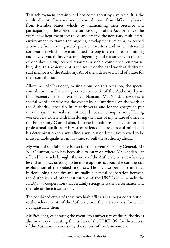This achievement certainly did not come about by a miracle. It is the result of joint efforts and several contributions from different players: from Member States, which, by maintaining their presence and participating in the work of the various organs of the Authority over the years, have kept the process alive and created the necessary multilateral environment to frame the ongoing developments relating to seabed activities; from the registered pioneer investors and other interested corporations which have maintained a strong interest in seabed mining and have devoted time, research, ingenuity and resources with the aim of one day making seabed resources a viable commercial enterprise; but, also, this achievement is the result of the hard work of dedicated staff members of the Authority. All of them deserve a word of praise for their contribution.

Allow me, Mr President, to single out, on this occasion, the special contribution, as I see it, given to the work of the Authority by its first secretary general, Mr Satya Nandan. Mr Nandan deserves a special word of praise for the dynamics he imprinted on the work of the Authority, especially in its early years, and for the energy he put into the system to make sure it would not stall along the way. Having worked very closely with him during the years of my tenure of office in the Preparatory Commission, I learned to admire his dedication and professional qualities. His vast experience, his resourceful mind and his determination to always find a way out of difficulties proved to be indispensable qualities, in his time, to pull the Authority ahead.

My word of special praise is also for the current Secretary General, Mr Nii Odunton, who has been able to carry on where Mr Nandan left off and has wisely brought the work of the Authority to a new level, a level that allows us today to be more optimistic about the commercial exploitation of the seabed resources. He has also been instrumental in developing a healthy and mutually beneficial cooperation between the Authority and other institutions of the UNCLOS – namely the ITLOS – a cooperation that certainly strengthens the performance and the role of these institutions.

The combined effort of these two high officials is a major contribution to the achievements of the Authority over the last 20 years, for which I congratulate them.

Mr President, celebrating the twentieth anniversary of the Authority is also in a way celebrating the success of the UNCLOS, for the success of the Authority is necessarily the success of the Convention.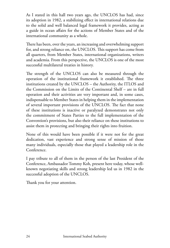As I stated in this hall two years ago, the UNCLOS has had, since its adoption in 1982, a stabilizing effect in international relations due to the solid and well balanced legal framework it provides, acting as a guide in ocean affairs for the actions of Member States and of the international community as a whole.

There has been, over the years, an increasing and overwhelming support for, and strong reliance on, the UNCLOS. This support has come from all quarters, from Member States, international organizations, writers and academia. From this perspective, the UNCLOS is one of the most successful multilateral treaties in history.

The strength of the UNCLOS can also be measured through the operation of the institutional framework it established. The three institutions created by the UNCLOS – the Authority, the ITLOS and the Commission on the Limits of the Continental Shelf – are in full operation and their activities are very important and, in some cases, indispensable to Member States in helping them in the implementation of several important provisions of the UNCLOS. The fact that none of these institutions is inactive or paralyzed demonstrates not only the commitment of States Parties to the full implementation of the Convention's provisions, but also their reliance on these institutions to assist them in protecting and bringing their rights into fruition.

None of this would have been possible if it were not for the great dedication, vast experience and strong sense of mission of those many individuals, especially those that played a leadership role in the Conference.

I pay tribute to all of them in the person of the last President of the Conference, Ambassador Tommy Koh, present here today, whose wellknown negotiating skills and strong leadership led us in 1982 in the successful adoption of the UNCLOS.

Thank you for your attention.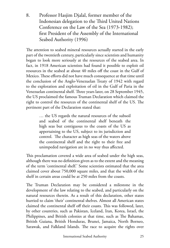8. Professor Hasjim Djalal, former member of the Indonesian delegation to the Third United Nations Conference on the Law of the Sea (1973-1982); first President of the Assembly of the International Seabed Authority (1996)

The attention to seabed mineral resources actually started in the early part of the twentieth century, particularly since scientists and humanity began to look more seriously at the resources of the seabed area. In fact, in 1918 American scientists had found it possible to exploit oil resources in the seabed at about 40 miles off the coast in the Gulf of Mexico. These efforts did not have much consequence at that time until the conclusion of the Anglo-Venezuelan Treaty of 1942 with regard to the exploration and exploitation of oil in the Gulf of Paria in the Venezuelan continental shelf. Three years later, on 28 September 1945, the US proclaimed the famous Truman Declaration which claimed the right to control the resources of the continental shelf of the US. The pertinent part of the Declaration stated that:

> … the US regards the natural resources of the subsoil and seabed of the continental shelf beneath the high seas but contiguous to the coasts of the US as appertaining to the US, subject to its jurisdiction and control. The character as high seas of the waters above the continental shelf and the right to their free and unimpeded navigation are in no way thus affected.

This proclamation covered a wide area of seabed under the high seas, although there was no definition given as to the extent and the meaning of the term 'continental shelf.' Some scientists estimated that the area claimed cover about 750,000 square miles, and that the width of the shelf in certain areas could be at 250 miles from the coasts.

The Truman Declaration may be considered a milestone in the development of the law relating to the seabed, and particularly on the natural resources therein. As a result of this declaration, other states hurried to claim 'their' continental shelves. Almost all American states claimed the continental shelf off their coasts. This was followed, later, by other countries, such as Pakistan, Iceland, Iran, Korea, Israel, the Philippines, and British colonies at that time, such as The Bahamas, British Guiana, British Honduras, Brunei, Jamaica, North Borneo, Sarawak, and Falkland Islands. The race to acquire the rights over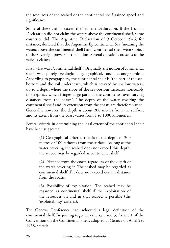the resources of the seabed of the continental shelf gained speed and significance.

Some of these claims exceed the Truman Declaration. If the Truman Declaration did not claim the waters above the continental shelf, some countries did. The Argentine Declaration of 9 October 1946, for instance, declared that the Argentine Epicontinental Sea (meaning the waters above the continental shelf) and continental shelf were subject to the sovereign powers of the nation. Several questions arose as to the various claims.

First, what was a 'continental shelf'? Originally, the notion of continental shelf was purely geological, geographical, and oceanographical. According to geographers, the continental shelf is "the part of the seabottom and the soil underneath, which is covered by shallow waters, up to a depth where the slope of the sea-bottom increases noticeably in steepness, which fringes large parts of the continents, over varying distances from the coasts". The depth of the water covering the continental shelf and its extension from the coasts are therefore varied. Generally, however, the depth is about 200 metres from the surface, and its extent from the coast varies from 1 to 1000 kilometres.

Several criteria in determining the legal extent of the continental shelf have been suggested.

> (1) Geographical criteria; that is to the depth of 200 metres or 100 fathoms from the surface. As long as the water covering the seabed does not exceed this depth, the seabed may be regarded as continental shelf.

> (2) Distance from the coast, regardless of the depth of the water covering it. The seabed may be regarded as continental shelf if it does not exceed certain distance from the coasts.

> (3) Possibility of exploitation. The seabed may be regarded as continental shelf if the exploitation of the resources on and in that seabed is possible (the 'exploitability' criteria).

The Geneva Conference had achieved a legal definition of the continental shelf. By joining together criteria 1 and 3, Article 1 of the Convention on the Continental Shelf, adopted at Geneva on April 29, 1958, stated: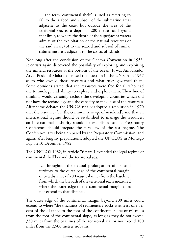… the term 'continental shelf' is used as referring to (a) to the seabed and subsoil of the submarine areas adjacent to the coast but outside the area of the territorial sea, to a depth of 200 metres or, beyond that limit, to where the depth of the superjacent waters admits of the exploitation of the natural resources of the said areas; (b) to the seabed and subsoil of similar submarine areas adjacent to the coasts of islands.

Not long after the conclusion of the Geneva Convention in 1958, scientists again discovered the possibility of exploring and exploiting the mineral resources at the bottom of the ocean. It was Ambassador Arvid Pardo of Malta that raised the question in the UN-GA in 1967 as to who owned those resources and what rules governed them. Some opinions stated that the resources were free for all who had the technology and ability to explore and exploit them. Their line of thinking would certainly exclude the developing countries which did not have the technology and the capacity to make use of the resources. After some debates the UN-GA finally adopted a resolution in 1970 that the resources 'are the common heritage of mankind', and that an international regime should be established to manage the resources, an international authority should be established and a Preparatory Conference should prepare the new law of the sea regime. The Conference, after being prepared by the Preparatory Commission, and again, after lengthy preparations, adopted the UNCLOS in Montego Bay on 10 December 1982.

The UNCLOS 1982, in Article 76 para 1 extended the legal regime of continental shelf beyond the territorial sea:

> … throughout the natural prolongation of its land territory to the outer edge of the continental margin, or to a distance of 200 nautical miles from the baselines from which the breadth of the territorial sea is measured where the outer edge of the continental margin does not extend to that distance.

The outer edge of the continental margin beyond 200 miles could extend to where "the thickness of sedimentary rocks is at least one per cent of the distance to the foot of the continental slope or 60 miles from the foot of the continental slope, as long as they do not exceed 350 miles from the baselines of the territorial sea, or not exceed 100 miles from the 2,500 metres isobaths.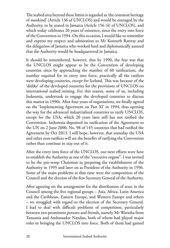The seabed area beyond these limits is regarded as 'the common heritage of mankind' (Article 136 of UNCLOS) and would be managed by the Authority, to be seated in Jamaica (Article 156 (4) of UNCLOS), and which today celebrates 20 years of existence, since the entry into force of the Convention in 1994. On this occasion, I would like to remember and express my respect and admiration to Mr Kenneth Rattray and the delegation of Jamaica who worked hard and diplomatically assured that the Authority would be headquartered in Jamaica.

It should be remembered, however, that by 1990, the fear was that the UNCLOS might appear to be the Convention of developing countries since by approaching the number of 60 ratifications, the number required for its entry into force, practically all the ratifiers were developing countries, except for Iceland. This was because of the 'dislike' of the developed countries for the provisions of UNCLOS on international seabed mining. For this reason, some of us, including Indonesia, undertook to engage the developed countries to discuss this matter in 1990s. After four years of negotiations, we finally agreed on the 'Implementing Agreement on Part XI' in 1994, thus opening the way for the advanced industrialized countries to ratify UNCLOS, except for the USA, which 20 years later still has not ratified the Convention. Indonesia deposited its ratification of the Agreement to the UN on 2 June 2000, No. 98 of 145 countries that had ratified the Agreement by Oct 2013. I still hope, however, that someday the USA and other non-ratifiers will see the benefits of ratifying the Convention rather than continue to stay out of it.

After the entry into force of the UNCLOS, our next efforts were how to establish the Authority as one of the "executive organs". I was invited to be the pro-temp Chairman in preparing the establishment of the Authority in 1995 and later on as President of the Authority in 1996. Some of the main problems at that time were the composition of the Council and the election of the first Secretary General of the Authority.

After agreeing on the arrangement for the distribution of seats in the Council among the five regional groups – Asia, Africa, Latin America and the Caribbean, Eastern Europe, and Western Europe and others – we struggled with regard to the election of the Secretary General. I had to deal with difficult problems of competition, particularly between two prominent persons and friends, namely Mr Warioba from Tanzania and Ambassador Nandan, both of whom had played major roles in bringing the UNCLOS into force. Both of them had gained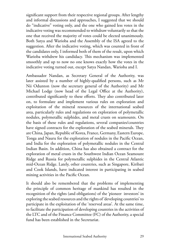significant support from their respective regional groups. After lengthy and informal discussions and approaches, I suggested that we should do "indicative" voting only, and the one who gained less votes in the indicative voting was recommended to withdraw voluntarily so that the one that received the majority of votes could be elected unanimously. Both Satya and Warioba and the Assembly of the ISA agreed to the suggestion. After the indicative voting, which was counted in front of the candidates only, I informed both of them of the result, upon which Warioba withdrew his candidacy. This mechanism was implemented smoothly and up to now no one knows exactly how the votes in the indicative voting turned out, except Satya Nandan, Warioba and I.

Ambassador Nandan, as Secretary General of the Authority, was later assisted by a number of highly-qualified persons, such as Mr Nii Odunton (now the secretary general of the Authority) and Mr Michael Lodge (now head of the Legal Office at the Authority), contributed significantly to these efforts. They also contributed later on, to formulate and implement various rules on exploration and exploitation of the mineral resources of the international seabed area, particularly rules and regulations on exploration of polymetallic nodules, polymetallic sulphides, and metal crusts on seamounts. On the basis of these rules and regulations, several companies/countries have signed contracts for the exploration of the seabed minerals. They are China, Japan, Republic of Korea, France, Germany, Eastern Europe, Tonga and Nauru for the exploration of nodules in the Pacific Ocean, and India for the exploration of polymetallic nodules in the Central Indian Basin. In addition, China has also obtained a contract for the exploration of metal crusts in the Southwest Indian Ocean Seamount Ridge and Russia for polymetallic sulphides in the Central Atlantic mid-Ocean Ridge. Lately, other countries, such as Singapore, Kiribati and Cook Islands, have indicated interest in participating in seabed mining activities in the Pacific Ocean.

It should also be remembered that the problems of implementing the principle of common heritage of mankind has resulted in the recognition of the rights (and obligations) of the 'pioneer investors' in exploring the seabed resources and the rights of 'developing countries' to participate in the exploitation of the 'reserved areas'. At the same time, to facilitate the participation of developing countries in the activities of the LTC and of the Finance Committee (FC) of the Authority, a special fund has been established in the Secretariat.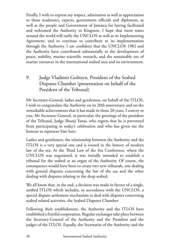Finally, I wish to express my respect, admiration as well as appreciation to those academics, experts, government officials and diplomats, as well as the people and Government of Jamaica for having facilitated and welcomed the Authority in Kingston. I hope that more states around the world will ratify the UNCLOS as well as its Implementing Agreement, and to continue to contribute to its implementation through the Authority. I am confident that the UNCLOS 1982 and the Authority have contributed substantially to the development of peace, stability, marine scientific research, and the sustainable use of marine resources in the international seabed area and its environment.

## 9. Judge Vladimir Golitsyn, President of the Seabed Disputes Chamber (presentation on behalf of the President of the Tribunal)

Mr Secretary-General, ladies and gentlemen, on behalf of the ITLOS, I wish to congratulate the Authority on its 20th anniversary and on the remarkable achievements that it has made in those 20 years. I convey to you, Mr Secretary-General, in particular, the greetings of the president of the Tribunal, Judge Shunji Yanai, who regrets that he is prevented from participating in today's celebration and who has given me the honour to represent him here.

Ladies and gentlemen, the relationship between the Authority and the ITLOS is a very special one and is rooted in the history of modern law of the sea. At the Third Law of the Sea Conference, where the UNCLOS was negotiated, it was initially intended to establish a tribunal for the seabed as an organ of the Authority. Of course, the consequence would have been to create two new tribunals, one dealing with general disputes concerning the law of the sea and the other dealing with disputes relating to the deep seabed.

We all know that, in the end, a decision was made in favour of a single, unified ITLOS which includes, in accordance with the UNCLOS, a special dispute settlement mechanism to deal with disputes concerning seabed related activities, the Seabed Disputes Chamber.

Following their establishment, the Authority and the ITLOS have established a fruitful cooperation. Regular exchanges take place between the Secretary-General of the Authority and the President and the judges of the ITLOS. Equally, the Secretariat of the Authority and the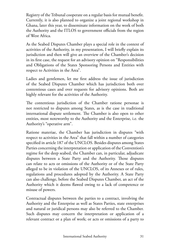Registry of the Tribunal cooperate on a regular basis for mutual benefit. Currently, it is also planned to organize a joint regional workshop in Ghana, later this year, to disseminate information on the work of both the Authority and the ITLOS to government officials from the region of West Africa.

As the Seabed Disputes Chamber plays a special role in the context of activities of the Authority, in my presentation, I will briefly explain its jurisdiction and then will give an overview of the Chamber's decision in its first case, the request for an advisory opinion on "Responsibilities and Obligations of the States Sponsoring Persons and Entities with respect to Activities in the Area".

Ladies and gentlemen, let me first address the issue of jurisdiction of the Seabed Disputes Chamber which has jurisdiction both over contentious cases and over requests for advisory opinions. Both are highly relevant for the activities of the Authority.

The contentious jurisdiction of the Chamber ratione personae is not restricted to disputes among States, as is the case in traditional international dispute settlement. The Chamber is also open to other entities, most noteworthy to the Authority and the Enterprise, i.e. the Authority's "operative arm".

Ratione materiae, the Chamber has jurisdiction in disputes "with respect to activities in the Area" that fall within a number of categories specified in article 187 of the UNCLOS. Besides disputes among States Parties concerning the interpretation or application of the Convention's regime for the deep seabed, the Chamber can, in particular, adjudicate disputes between a State Party and the Authority. Those disputes can relate to acts or omissions of the Authority or of the State Party alleged to be in violation of the UNCLOS, of its Annexes or of rules, regulations and procedures adopted by the Authority. A State Party can also challenge, before the Seabed Disputes Chamber, an act of the Authority which it deems flawed owing to a lack of competence or misuse of powers.

Contractual disputes between the parties to a contract, involving the Authority and the Enterprise as well as States Parties, state enterprises and natural or juridical persons may also be referred to the Chamber. Such disputes may concern the interpretation or application of a relevant contract or a plan of work; or acts or omissions of a party to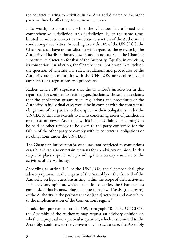the contract relating to activities in the Area and directed to the other party or directly affecting its legitimate interests.

It is worthy to note that, while the Chamber has a broad and comprehensive jurisdiction, this jurisdiction is, at the same time, limited in order to protect the necessary discretion of the Authority in conducting its activities. According to article 189 of the UNCLOS, the Chamber shall have no jurisdiction with regard to the exercise by the Authority of its discretionary powers and in no case shall the Chamber substitute its discretion for that of the Authority. Equally, in exercising its contentious jurisdiction, the Chamber shall not pronounce itself on the question of whether any rules, regulations and procedures of the Authority are in conformity with the UNCLOS, nor declare invalid any such rules, regulations and procedures.

Rather, article 189 stipulates that the Chamber's jurisdiction in this regard shall be confined to deciding specific claims. Those include claims that the application of any rules, regulations and procedures of the Authority in individual cases would be in conflict with the contractual obligations of the parties to the dispute or their obligations under the UNCLOS. This also extends to claims concerning excess of jurisdiction or misuse of power. And, finally, this includes claims for damages to be paid or other remedy to be given to the party concerned for the failure of the other party to comply with its contractual obligations or its obligations under the UNCLOS.

The Chamber's jurisdiction is, of course, not restricted to contentious cases but it can also entertain requests for an advisory opinion. In this respect it plays a special role providing the necessary assistance to the activities of the Authority.

According to article 191 of the UNCLOS, the Chamber shall give advisory opinions at the request of the Assembly or the Council of the Authority on legal questions arising within the scope of their activities. In its advisory opinion, which I mentioned earlier, the Chamber has emphasized that by answering such questions it will "assist [the organs] of the Authority in the performance of [their] activities and contribute to the implementation of the Convention's regime."

In addition, pursuant to article 159, paragraph 10 of the UNCLOS, the Assembly of the Authority may request an advisory opinion on whether a proposal on a particular question, which is submitted to the Assembly, conforms to the Convention. In such a case, the Assembly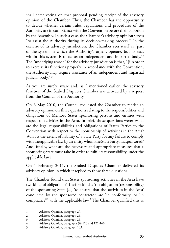shall defer voting on that proposal pending receipt of the advisory opinion of the Chamber. Thus, the Chamber has the opportunity to decide whether certain rules, regulations and procedures of the Authority are in compliance with the Convention before their adoption by the Assembly. In such a case, the Chamber's advisory opinion serves "to assist the Authority during its decision-making process."1 In the exercise of its advisory jurisdiction, the Chamber sees itself as "part of the system in which the Authority's organs operate, but its task within this system is to act as an independent and impartial body."<sup>2</sup> The "underlying reason" for the advisory jurisdiction is that, "[i]n order to exercise its functions properly in accordance with the Convention, the Authority may require assistance of an independent and impartial judicial body."<sup>3</sup>

As you are surely aware and, as I mentioned earlier, the advisory function of the Seabed Disputes Chamber was activated by a request from the Council of the Authority.

On 6 May 2010, the Council requested the Chamber to render an advisory opinion on three questions relating to the responsibilities and obligations of Member States sponsoring persons and entities with respect to activities in the Area. In brief, those questions were: What are the legal responsibilities and obligations of States Parties to the Convention with respect to the sponsorship of activities in the Area? What is the extent of liability of a State Party for any failure to comply with the applicable law by an entity whom the State Party has sponsored? And, finally, what are the necessary and appropriate measures that a sponsoring State must take in order to fulfil its responsibility under the applicable law?

On 1 February 2011, the Seabed Disputes Chamber delivered its advisory opinion in which it replied to those three questions.

The Chamber found that States sponsoring activities in the Area have two kinds of obligations:4 The first kind is "the obligation (responsibility) of the sponsoring State [...] 'to ensure' that the 'activities in the Area' conducted by the sponsored contractor are 'in conformity' or 'in compliance'" with the applicable law.<sup>5</sup> The Chamber qualified this as

<sup>1</sup> Advisory Opinion, paragraph 27.

<sup>2</sup> Advisory Opinion, paragraph 26.

<sup>3</sup> Advisory Opinion, paragraph 26.

<sup>4</sup> Advisory Opinion, paragraphs 99-120 and 121-140.

<sup>5</sup> Advisory Opinion, paragraph 103.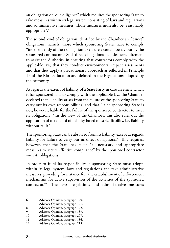an obligation of "due diligence" which requires the sponsoring State to take measures within its legal system consisting of laws and regulations and administrative measures. Those measures must also be "reasonably appropriate".6

The second kind of obligation identified by the Chamber are "direct" obligations, namely, those which sponsoring States have to comply "independently of their obligation to ensure a certain behaviour by the sponsored contractor".7 Such direct obligations include the requirement to assist the Authority in ensuring that contractors comply with the applicable law, that they conduct environmental impact assessments and that they apply a precautionary approach as reflected in Principle 15 of the Rio Declaration and defined in the Regulations adopted by the Authority.

As regards the extent of liability of a State Party in case an entity which it has sponsored fails to comply with the applicable law, the Chamber declared that "liability arises from the failure of the sponsoring State to carry out its own responsibilities" and that "[t]he sponsoring State is not, however, liable for the failure of the sponsored contractor to meet its obligations".8 In the view of the Chamber, this also rules out the application of a standard of liability based on strict liability, i.e. liability without fault.9

The sponsoring State can be absolved from its liability, except as regards liability for failure to carry out its direct obligations.<sup>10</sup> This requires, however, that the State has taken "all necessary and appropriate measures to secure effective compliance" by the sponsored contractor with its obligations.<sup>11</sup>

In order to fulfil its responsibility, a sponsoring State must adopt, within its legal system, laws and regulations and take administrative measures, providing for instance for "the establishment of enforcement mechanisms for active supervision of the activities of the sponsored contractor."12 The laws, regulations and administrative measures

<sup>6</sup> Advisory Opinion, paragraph 120.

<sup>7</sup> Advisory Opinion, paragraph 121.

<sup>8</sup> Advisory Opinion, paragraph 172.

<sup>9</sup> Advisory Opinion, paragraph 189.

<sup>10</sup> Advisory Opinion, paragraph 207.

<sup>11</sup> Advisory Opinion, paragraph 186.

<sup>12</sup> Advisory Opinion, paragraph 218.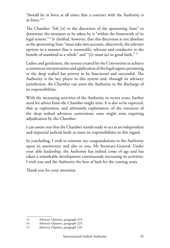"should be in force at all times that a contract with the Authority is in force."13

The Chamber "left [it] to the discretion of the sponsoring State" to determine the measures to be taken by it "within the framework of its legal system."14 It clarified, however, that this discretion is not absolute as the sponsoring State "must take into account, objectively, the relevant options in a manner that is reasonable, relevant and conducive to the benefit of mankind as a whole" and "[i]t must act in good faith." 15

Ladies and gentlemen, the system created by the Convention to achieve a consistent interpretation and application of the legal regime pertaining to the deep seabed has proven to be functional and successful. The Authority is the key player in this system and, through its advisory jurisdiction, the Chamber can assist the Authority in the discharge of its responsibilities.

With the increasing activities of the Authority in recent years, further need for advice from the Chamber might arise. It is also to be expected, that as exploration, and ultimately exploitation, of the resources of the deep seabed advances contentious cases might arise requiring adjudication by the Chamber.

I can assure you that the Chamber stands ready to act as an independent and impartial judicial body to meet its responsibilities in this regard.

In concluding, I wish to reiterate my congratulations to the Authority upon its anniversary and also to you, Mr Secretary-General. Under your able leadership, the Authority has indeed come of age and has taken a remarkable development continuously increasing its activities. I wish you and the Authority the best of luck for the coming years.

Thank you for your attention.

<sup>13</sup> Advisory Opinion, paragraph 219.

<sup>14</sup> Advisory Opinion, paragraph 229.

<sup>15</sup> Advisory Opinion, paragraph 230.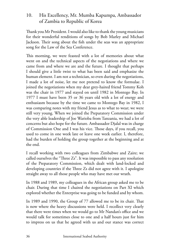#### 10. His Excellency, Mr. Mumba Kapumpa, Ambassador of Zambia to Republic of Korea

Thank you Mr President. I would also like to thank the young musicians for their wonderful renditions of songs by Bob Marley and Michael Jackson. Their song about the fish under the seas was an appropriate song for the Law of the Sea Conference.

This morning, we were feasted with a lot of memories about what went on and the technical aspects of the negotiations and where we came from and where we are and the future. I thought that perhaps I should give a little twist to what has been said and emphasize the human element. I am not a technician, so even during the negotiations, I made a lot of noise, let me not pretend to know the formulae. I joined the negotiations when my dear grey-haired friend Tommy Koh was the chair in 1977 and stayed on until 1982 in Montego Bay. In 1977 I must have been 35 or 36 years old with a lot of energy and enthusiasm because by the time we came to Montego Bay in 1982, I was comparing notes with my friend Jesus as to what to wear; we were still very young. When we joined the Preparatory Commission under the very able leadership of Joe Warioba from Tanzania, we had a lot of concerns but also hope for the future. Ambassador Djalal was in charge of Commission One and I was his vice. Those days, if you recall, you used to come in one week late or leave one week earlier. I, therefore, had the burden of holding the group together at the beginning and at the end.

I recall working with two colleagues from Zimbabwe and Zaire; we called ourselves the "Three Zs". It was impossible to pass any resolution of the Preparatory Commission, which dealt with land-locked and developing countries if the Three Zs did not agree with it. I apologize straight away to all those people who may have met our wrath.

In 1988 and 1989, my colleagues in the African group asked me to be chair. During that time I chaired the negotiations on Part XI which explored whether the Enterprise was going to be funded and by whom.

In 1989 and 1990, the Group of 77 allowed me to be its chair. That is now where the heavy discussions were held. I recollect very clearly that there were times when we would go to Mr Nandan's office and we would talk for sometimes close to one and a half hours just for him to impress on us that he agreed with us and our stance was correct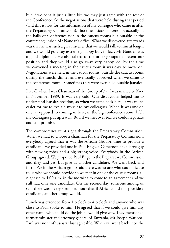but if we bent it just a little bit, we may just agree with the rest of the Conference. So the negotiations that were held during that period (and this is now for the information of my colleague who came in after the Preparatory Commission), those negotiations were not actually in the halls of Conference nor in the caucus rooms but outside of the conference; inside Mr Nandan's office. What we discovered afterwards was that he was such a great listener that we would talk to him at length and we would go away extremely happy but, in fact, Mr Nandan was a good diplomat. He also talked to the other groups to present our position and they would also go away very happy. So, by the time we convened a meeting in the caucus room it was easy to move on. Negotiations were held in the caucus rooms, outside the caucus rooms during the lunch, dinner and eventually approved when we came to the conference room. Sometimes they were even held outside Jamaica.

I recall when I was Chairman of the Group of 77, I was invited to Kiev in November 1989. It was very cold. Our discussions helped me to understand Russia's position, so when we came back here, it was much easier for me to explain myself to my colleagues. When it was one on one, as opposed to coming in here, in the big conference room, I felt my colleagues put up a wall. But, if we met over tea, we could negotiate and compromise.

The compromises went right through the Preparatory Commission. When we had to choose a chairman for the Preparatory Commission, everybody agreed that it was the African Group's time to provide a candidate. We provided one in Paul Engo, a Cameroonian, a large guy with flowing robes and a big strong voice. Everybody in the African Group agreed. We proposed Paul Engo to the Preparatory Commission and they said yes, but give us another candidate. We went back and forth. We in the African group said there was no one who could dictate to us who we should provide so we met in one of the caucus rooms, all night up to 4:00 a.m. in the morning to come to an agreement and we still had only one candidate. On the second day, someone among us said there was a very strong rumour that if Africa could not provide a candidate, another group would.

Lunch was extended from 1 o'clock to 4 o'clock and anyone who was close to Paul, spoke to him. He agreed that if we could give him any other name who could do the job he would give way. They mentioned former minister and attorney general of Tanzania, Mr Joseph Warioba. Paul was not enthusiastic but agreeable. When we went back into the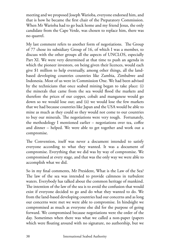meeting and we proposed Joseph Warioba, everyone endorsed him, and that is how he became the first chair of the Preparatory Commission. When Mr Warioba had to go back home and my friend Jesus, the only candidate from the Cape Verde, was chosen to replace him, there was no quarrel.

My last comment refers to another form of negotiations. The Group of 77 chose its subsidiary Group of 16, of which I was a member, to discuss with the other groups all the aspects of UNCLOS, especially Part XI. We were very determined at that time to push an agenda in which the pioneer investors, on being given their licences, would each give \$1 million to help eventually, among other things, all the landbased developing countries countries like Zambia, Zimbabwe and Indonesia. Most of us were in Commission One. We had been advised by the technicians that once seabed mining began to take place: (i) the minerals that came from the sea would flood the markets and therefore the prices of our copper, cobalt and manganese would go down so we would lose out; and (ii) we would lose the few markets that we had because countries like Japan and the USA would be able to mine as much as they could so they would not come to our countries to buy our minerals. The negotiations were very tough. Fortunately, the methodology I mentioned earlier – negotiations over tea, coffee and dinner – helped. We were able to get together and work out a compromise.

The Convention, itself was never a document intended to satisfy everyone according to what they wanted. It was a document of compromise. Everything that we did was by way of compromise. We compromised at every stage, and that was the only way we were able to accomplish what we did.

So in my final comments, Mr President, What is the Law of the Sea? The law of the sea was intended to provide calmness in turbulent waters. Everybody has talked about the common heritage of mankind. The intention of the law of the sea is to avoid the confusion that would exist if everyone decided to go and do what they wanted to do. We from the land-based developing countries had our concerns and as long our concerns were met we were able to compromise. In hindsight we compromised as much as everyone else did for the purpose of going forward. We compromised because negotiations were the order of the day. Sometimes when there was what we called a non-paper (papers which were floating around with no signature, no authorship, but we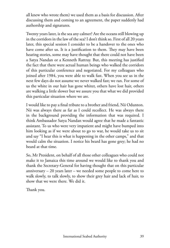all knew who wrote them) we used them as a basis for discussion. After discussing them and coming to an agreement, the paper suddenly had authorship and signatures.

Twenty years later, is the sea any calmer? Are the oceans still blowing up in the corridors in the law of the sea? I don't think so. First of all 20 years later, this special session I consider to be a handover to the ones who have come after us. It is a justification to them. They may have been hearing stories, some may have thought that there could not have been a Satya Nandan or a Kenneth Rattray. But, this meeting has justified the fact that there were actual human beings who walked the corridors of this particular conference and negotiated. For my colleagues who joined after 1984, you were able to walk fast. When you see us in the next few days do not assume we never walked fast; we ran. For some of us the white in our hair has gone whiter, others have lost hair, others are walking a little slower but we assure you that what we did provided this particular situation where we are.

I would like to pay a final tribute to a brother and friend, Nii Odunton. Nii was always there as far as I could recollect. He was always there in the background providing the information that was required. I think Ambassador Satya Nandan would agree that he made a fantastic assistant. To us who were very impatient and might have bumped into him looking as if we were about to go to war, he would take us to sit and say "I hear this is what is happening in the other camps," and that would calm the situation. I notice his beard has gone grey; he had no beard at that time.

So, Mr President, on behalf of all those other colleagues who could not make it to Jamaica this time around we would like to thank you and thank the Secretary-General for having thought that on this particular anniversary  $-20$  years later – we needed some people to come here to walk slowly, to talk slowly, to show their grey hair and lack of hair, to show that we were there. We did it.

Thank you.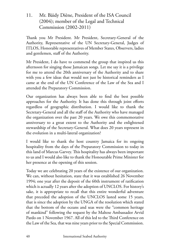#### 11. Mr. Bäidy Diène, President of the ISA Council (2004); member of the Legal and Technical Commission (2002-2011)

Thank you Mr President. Mr President, Secretary-General of the Authority, Representative of the UN Secretary-General, Judges of ITLOS, Honorable representatives of Member States, Observers, ladies and gentlemen, staff of the Authority.

Mr President, I do have to commend the group that inspired us this afternoon for singing those Jamaican songs. Let me say it is a privilege for me to attend the 20th anniversary of the Authority and to share with you a few ideas that would not just be historical reminders as I came at the end of the UN Conference of the Law of the Sea and I attended the Preparatory Commission.

Our organization has always been able to find the best possible approaches for the Authority. It has done this through joint efforts regardless of geographic distribution. I would like to thank the Secretary-General and all the staff of the Authority who have managed the organization over the past 20 years. We owe this commemorative anniversary to a great extent to the Authority and the enlightened stewardship of the Secretary-General. What does 20 years represent in the evolution in a multi-lateral organization?

I would like to thank the host country Jamaica for its ongoing hospitality from the days of the Preparatory Commission to today in this land of Marcus Garvey. This hospitality has always been important to us and I would also like to thank the Honourable Prime Minister for her presence at the opening of this session.

Today we are celebrating 20 years of the existence of our organization. We can, without hesitation, state that it was established 26 November 1994; one year after the deposit of the 60th instrument of ratification which is actually 12 years after the adoption of UNCLOS. For history's sake, it is appropriate to recall that this entire wonderful adventure that preceded the adoption of the UNCLOS lasted some 15 years, that is since the adoption by the UNGA of the resolution which stated that the bottom of the oceans and seas were the "common heritage of mankind" following the request by the Maltese Ambassador Arvid Pardo on 1 November 1967. All of this led to the Third Conference on the Law of the Sea, that was nine years prior to the Special Commission.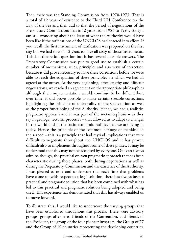Then there was the Standing Commission from 1970-1973. That is a total of 12 years of existence to the Third UN Conference on the Law of the Sea and then add to that the period of negotiations of the Preparatory Commission; that is 12 years from 1983 to 1994. Today I am still wondering about the issue of what the Authority would have been like if the ratifications of the UNCLOS had entered into effect. If you recall, the first instrument of ratification was proposed on the first day but we had to wait 12 years to have all sixty of those instruments. This is a theoretical question but it has several possible answers. The Preparatory Commission was put to good use to establish a certain number of mechanisms, rules, principles and also ways of correction because it did prove necessary to have these corrections before we were able to reach the adaptation of these principles on which we had all agreed at the outset. At the very beginning, after lengthy and difficult negotiations, we reached an agreement on the appropriate philosophies although their implementation would continue to be difficult but, over time, it did prove possible to make certain sizeable corrections highlighting the principle of universality of the Convention as well as the proper functioning of the Authority. Hence, we had a realistic, pragmatic approach and it was part of the metamorphosis – as they say in geology, tectonic processes – that allowed us to adapt to changes in the world and in the socio-economic realities that we are living in today. Hence the principle of the common heritage of mankind in the seabed – this is a principle that had myriad implications that were difficult to negotiate throughout the UNCLOS and it has proven difficult also to implement throughout some of these phases. It may be understood that this may not be accepted by everyone. One can always admire, though, the practical or even pragmatic approach that has been characteristic during these phases, both during negotiations as well as during the Preparatory Commission and the existence of the Authority. I was pleased to note and underscore that each time that problems have come up with respect to a legal solution, there has always been a practical and pragmatic solution that has been combined with what has led to this practical and pragmatic solution being adopted and being used. This experience has demonstrated that this has always enabled us to move forward.

To illustrate this, I would like to underscore the varying groups that have been established throughout this process. There were advisory groups, groups of experts, friends of the Convention, and friends of the President, the group of the four pioneer investors; the Group of 77 and the Group of 10 countries representing the developing countries,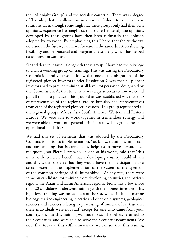the "Midnight Group" and the socialist countries. There was a degree of flexibility that has allowed us in a positive fashion to come to these solutions. Even though some might say these groups only had their own opinions, experience has taught us that quite frequently the opinions developed by these groups have then been ultimately the opinion adopted by everyone. By emphasizing this I hope that the Authority, now and in the future, can move forward in the same direction showing flexibility and be practical and pragmatic, a strategy which has helped us to move forward to date.

Sir and dear colleagues, along with these groups I have had the privilege to chair a working group on training. This was during the Preparatory Commission and you would know that one of the obligations of the registered pioneer investors under Resolution 2 was that all pioneer investors had to provide training at all levels for personnel designated by the Commission. At that time there was a question as to how we could put all this into practice. This group that was established was made up of representative of the regional groups but also had representatives from each of the registered pioneer investors. This group represented all the regional groups; Africa, Asia South America, Western and Eastern Europe. We were able to work together in tremendous synergy and we were able to work out general principles as well as guidelines and operational modalities.

We had this set of elements that was adopted by the Preparatory Commission prior to implementation. You know, training is important and any training that is carried out, helps us to move forward. Let me quote Jean Pierre Levy who, in one of his works, said that "this is the only concrete benefit that a developing country could obtain and this is the sole area that they would have their participation to a certain extent in the implementation of the system of management of the common heritage of all humankind". At any rate, there were some 60 candidates for training from developing countries, the African region, the Asian and Latin American regions. From this a few more than 20 candidates underwent training with the pioneer investors. This high-level training was on sciences of the sea, which included marine biology, marine engineering, electric and electronic systems, geological sciences and sciences relating to processing of minerals. It is true that these individuals were not staff, except for one who came from your country, Sir, but this training was never lost. The others returned to their countries, and were able to serve their countries/continents. We note that today at this 20th anniversary, we can see that this training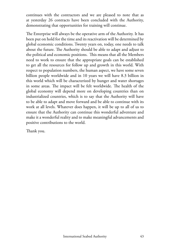continues with the contractors and we are pleased to note that as at yesterday 26 contracts have been concluded with the Authority, demonstrating that opportunities for training will continue.

The Enterprise will always be the operative arm of the Authority. It has been put on hold for the time and its reactivation will be determined by global economic conditions. Twenty years on, today, one needs to talk about the future. The Authority should be able to adapt and adjust to the political and economic positions. This means that all the Members need to work to ensure that the appropriate goals can be established to get all the resources for follow up and growth in this world. With respect to population numbers, the human aspect, we have some seven billion people worldwide and in 10 years we will have 8.3 billion in this world which will be characterized by hunger and water shortages in some areas. The impact will be felt worldwide. The health of the global economy will depend more on developing countries than on industrialized countries, which is to say that the Authority will have to be able to adapt and move forward and be able to continue with its work at all levels. Whatever does happen, it will be up to all of us to ensure that the Authority can continue this wonderful adventure and make it a wonderful reality and to make meaningful advancements and positive contributions to the world.

Thank you.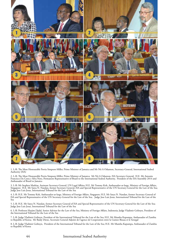

1. L-R: The Most Honourable Portia Simpson-Miller, Prime Minister of Jamaica and Mr Nii A Odunton, Secretary-General, International Seabed Authority (ISA)

2. L-R: The Most Honourable Portia Simpson-Miller, Prime Minister of Jamaica; Mr Nii A Odunton, ISA Secretary-General; H.E. Mr Antonio Francisco Da Costa e Silva Neto, Permanent Representative of Brazil to the International Seabed Authority, President of the ISA Assembly 2014 and Ambassador of Brazil to Jamaica

3. L-R: Mr Stephen Mathias, Assistant Secretary-General, UN Legal Affairs; H.E. Mr Tommy Koh, Ambassador-at-large, Ministry of Foreign Affairs,<br>Singapore; H.E. Mr Satya N. Nandan, former Secretary-General, ISA and Special

4. L-R: H.E. Mr Tommy Koh, Ambassador-at-large, Ministry of Foreign Affairs, Singapore; H.E. Mr Satya N. Nandan, former Secretary General of ISA and Special Representative of the UN Secretary-General for the Law of the Sea; Judge Jose Luis Jesus, International Tribunal for the Law of the Sea

5. L-R: H.E. Mr Satya N. Nandan, former Secretary General of ISA and Special Representative of the UN Secretary-General for the Law of the Sea; Judge Jose Luis Jesus, International Tribunal for the Law of the Sea

6. L-R: Professor Hasjim Djalal, Senior Advisor for the Law of the Sea, Ministry of Foreign Affairs, Indonesia; Judge Vladimir Golitsyn, President of the International Tribunal for the Law of the Sea

7. L-R: Judge Vladimir Golitsyn, President of the International Tribunal for the Law of the Sea; H.E. Mr Mumba Kapumpa, Ambassador of Zambia to Republic of Korea; Mr Baidy Diene, Secretaire General Adjoint de l'agence de Cooperation entre la Guinee Bissau et le Senegal

8. L-R: Judge Vladimir Golitsyn, President of the International Tribunal for the Law of the Sea; H.E. Mr Mumba Kapumpa, Ambassador of Zambia to Republic of Korea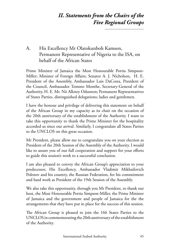# *II. Statements from the Chairs of the Five Regional Groups*

## A. His Excellency Mr Olatokunboh Kamson, Permanent Representative of Nigeria to the ISA, on behalf of the African States

Prime Minister of Jamaica the Most Honourable Portia Simpson-Miller; Minister of Foreign Affairs; Senator A. J. Nicholson, H. E. President of the Assembly, Ambassador Luis DaCosta, President of the Council, Ambassador Tommo Monthe, Secretary-General of the Authority, H. E. Mr. Nii Allotey Odunton; Permanent Representatives of States Parties, distinguished delegations; ladies and gentlemen.

I have the honour and privilege of delivering this statement on behalf of the African Group in my capacity as its chair on the occasion of the 20th anniversary of the establishment of the Authority. I want to take this opportunity to thank the Prime Minister for the hospitality accorded us since our arrival. Similarly, I congratulate all States Parties to the UNCLOS on this great occasion.

Mr President, please allow me to congratulate you on your election as President of the 20th Session of the Assembly of the Authority. I would like to assure you of our full cooperation and support for your efforts to guide this session's work to a successful conclusion.

I am also pleased to convey the African Group's appreciation to your predecessor, His Excellency, Ambassador Vladimir Mikhailovich Polenov and his country, the Russian Federation, for his commitment and hard work as President of the 19th Session of the Assembly.

We also take this opportunity, through you Mr President, to thank our host, the Most Honourable Portia Simpson-Miller, the Prime Minister of Jamaica and the government and people of Jamaica for the the arrangements that they have put in place for the success of this session.

The African Group is pleased to join the 166 States Parties to the UNCLOS in commemorating the 20th anniversary of the establishment of the Authority.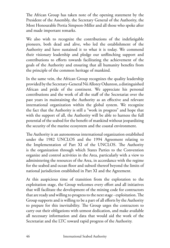The African Group has taken note of the opening statement by the President of the Assembly, the Secretary General of the Authority, the Most Honourable Portia Simpson-Miller and all those who spoke after and made important remarks.

We also wish to recognize the contributions of the indefatigable pioneers, both dead and alive, who led the establishment of the Authority and have sustained it to what it is today. We commend their visionary leadership and pledge our unflinching support and contributions to efforts towards facilitating the achievement of the goals of the Authority and ensuring that all humanity benefits from the principle of the common heritage of mankind.

In the same vein, the African Group recognizes the quality leadership provided by the Secretary-General Nii Allotey Odunton, a distinguished African and pride of the continent. We appreciate his personal contributions and the work of all the staff of the Secretariat over the past years in maintaining the Authority as an effective and relevant international organization within the global system. We recognize the fact that the Authority is still a "work in progress" and hope that with the support of all, the Authority will be able to harness the full potential of the seabed for the benefit of mankind without jeopardizing the security of the marine ecosystem and the coastal environment.

The Authority is an autonomous international organization established under the 1982 UNCLOS and the 1994 Agreement relating to the Implementation of Part XI of the UNCLOS. The Authority is the organization through which States Parties to the Convention organize and control activities in the Area, particularly with a view to administering the resources of the Area, in accordance with the regime for the seabed and ocean floor and subsoil thereof beyond the limits of national jurisdiction established in Part XI and the Agreement.

At this auspicious time of transition from the exploration to the exploitation stage, the Group welcomes every effort and all initiatives that will facilitate the development of the mining code for contractors that are ready and willing to progress to the next stage - exploitation. The Group supports and is willing to be a part of all efforts by the Authority to prepare for this inevitability. The Group urges the contractors to carry out their obligations with utmost dedication, and make available all necessary information and data that would aid the work of the Secretariat and the LTC toward rapid progress of the Authority.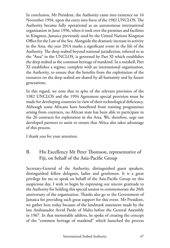In conclusion, Mr President, the Authority came into existence on 16 November 1994, upon the entry into force of the 1982 UNCLOS. The Authority became fully operational as an autonomous international organization in June 1996, when it took over the premises and facilities in Kingston, Jamaica previously used by the United Nations Kingston Office for the Law of the Sea. Alongside the dramatic increase in activity in the Area, the year 2014 marks a significant event in the life of the Authority. The deep seabed beyond national jurisdiction, referred to as the "Area" in the UNCLOS, is governed by Part XI which establishes the deep seabed as the common heritage of mankind. In a nutshell, Part XI establishes a regime, complete with an international organization, the Authority, to ensure that the benefits from the exploitation of the resources on the deep seabed are shared by all humanity and by future generations.

In this regard, we note that in spite of the relevant provision of the 1982 UNCLOS and the 1994 Agreement special provision must be made for developing countries in view of their technological deficiency. Although some Africans have benefitted from training programmes arising from contracts, no African state has been able to participate in the 26 contracts for exploration in the Area. We, therefore, urge our developed partners to assist to ensure that Africa also takes advantage of this process.

I thank you for your attention.

### B. His Excellency Mr Peter Thomson, representative of Fiji, on behalf of the Asia-Pacific Group

Secretary-General of the Authority, distinguished guest speakers, distinguished fellow delegates, ladies and gentlemen. It is a great privilege for me to speak on behalf of the Asia-Pacific Group on this auspicious day. I wish to begin by expressing our sincere gratitude to the Authority for holding this special session to commemorate the 20th anniversary of the organization. Thanks also go to the Government of Jamaica for providing such great support for this event. Mr President, we gather here today because of the landmark statement made by the late Ambassador Arvid Pardo of Malta before the General Assembly in 1967. In that memorable address, he spoke of creating the concept of the "common heritage of mankind" which launched the process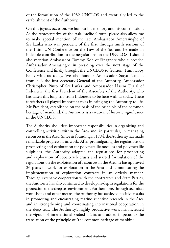of the formulation of the 1982 UNCLOS and eventually led to the establishment of the Authority.

On this joyous occasion, we honour his memory and his contribution. As the representative of the Asia-Pacific Group, please also allow me to make special mention of the late Ambassador Amerasinghe of Sri Lanka who was president of the first through ninth sessions of the Third UN Conference on the Law of the Sea and he made an indelible contribution to the negotiations on the UNCLOS. I should also mention Ambassador Tommy Koh of Singapore who succeeded Ambassador Amerasinghe in presiding over the next stage of the Conference and finally brought the UNCLOS to fruition. I am happy he is with us today. We also honour Ambassador Satya Nandan from Fiji, the first Secretary-General of the Authority, Ambassador Christopher Pinto of Sri Lanka and Ambassador Hasim Djalal of Indonesia, the first President of the Assembly of the Authority, who has taken this long trip from Indonesia to be here with us today. These forefathers all played important roles in bringing the Authority to life. Mr President, established on the basis of the principle of the common heritage of mankind, the Authority is a creation of historic significance in the UNCLOS.

The Authority shoulders important responsibilities in organizing and controlling activities within the Area and, in particular, in managing resources in the Area. Since its founding in 1994, the Authority has made remarkable progress in its work. After promulgating the regulations on prospecting and exploration for polymetallic nodules and polymetallic sulphides, the Authority adopted the regulations for prospecting and exploration of cobalt-rich crusts and started formulation of the regulations on the exploitation of resources in the Area. It has approved 26 plans of work for exploration in the Area and is monitoring the implementation of exploration contracts in an orderly manner. Through extensive cooperation with the contractors and State Parties, the Authority has also continued to develop in-depth regulations for the protection of the deep sea environment. Furthermore, through technical workshops and other means, the Authority has achieved positive results in promoting and encouraging marine scientific research in the Area and in strengthening and coordinating international cooperation in the deep seas. The Authority's highly productive work has increased the vigour of international seabed affairs and added impetus to the translation of the principle of "the common heritage of mankind".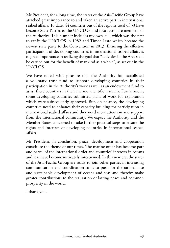Mr President, for a long time, the states of the Asia-Pacific Group have attached great importance to and taken an active part in international seabed affairs. To date, 44 countries out of the region's total of 53 have become State Parties to the UNCLOS and ipso facto, are members of the Authority. This number includes my own Fiji, which was the first to ratify the UNCLOS in 1982 and Timor Leste which became the newest state party to the Convention in 2013. Ensuring the effective participation of developing countries in international seabed affairs is of great importance in realizing the goal that "activities in the Area shall be carried out for the benefit of mankind as a whole", as set out in the UNCLOS.

We have noted with pleasure that the Authority has established a voluntary trust fund to support developing countries in their participation in the Authority's work as well as an endowment fund to assist these countries in their marine scientific research. Furthermore, some developing countries submitted plans of work for exploration which were subsequently approved. But, on balance, the developing countries need to enhance their capacity building for participation in international seabed affairs and they need more attention and support from the international community. We expect the Authority and the Member States concerned to take further practical steps to ensure the rights and interests of developing countries in international seabed affairs.

Mr President, in conclusion, peace, development and cooperation constitute the theme of our times. The marine order has become part and parcel of the international order and countries' interests in oceans and seas have become intricately intertwined. In this new era, the states of the Asia-Pacific Group are ready to join other parties in increasing communication and coordination so as to push for the rational use and sustainable development of oceans and seas and thereby make greater contributions to the realization of lasting peace and common prosperity in the world.

I thank you.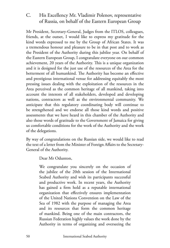#### C. His Excellency Mr. Vladimir Polenov, representative of Russia, on behalf of the Eastern European Group

Mr President, Secretary-General, Judges from the ITLOS, colleagues, friends, at the outset, I would like to express my gratitude for the kind words expressed to me by the Group of African States. It was a tremendous honour and pleasure to be in that post and to work as the President of the Authority during this jubilee year. On behalf of the Eastern European Group, I congratulate everyone on our common achievement, 20 years of the Authority. This is a unique organization and it is designed for the just use of the resources of the Area for the betterment of all humankind. The Authority has become an effective and prestigious international venue for addressing equitably the most pressing issues dealing with the exploitation of the resources in the Area perceived as the common heritage of all mankind, taking into account the interests of all stakeholders, developed and developing nations, contractors as well as the environmental community. We anticipate that this regulatory coordinating body will continue to be strengthened and we endorse all those kind words and positive assessments that we have heard in this chamber of the Authority and also those words of gratitude to the Government of Jamaica for giving us comfortable conditions for the work of the Authority and the work of the delegations.

By way of congratulations on the Russian side, we would like to read the text of a letter from the Minister of Foreign Affairs to the Secretary-General of the Authority.

Dear Mr Odunton,

We congratulate you sincerely on the occasion of the jubilee of the 20th session of the International Seabed Authority and wish its participants successful and productive work. In recent years, the Authority has gained a firm hold as a reputable international organization that effectively ensures implementation of the United Nations Convention on the Law of the Sea of 1982 with the purpose of managing the Area and its resources that form the common heritage of mankind. Being one of the main contractors, the Russian Federation highly values the work done by the Authority in terms of organizing and overseeing the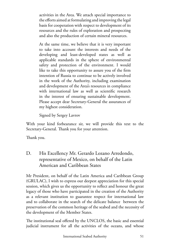activities in the Area. We attach special importance to the efforts aimed at formulating and improving the legal basis for cooperation with respect to development of its resources and the rules of exploration and prospecting and also the production of certain mineral resources.

At the same time, we believe that it is very important to take into account the interests and needs of the developing and least-developed states as well as applicable standards in the sphere of environmental safety and protection of the environment. I would like to take this opportunity to assure you of the firm intention of Russia to continue to be actively involved in the work of the Authority, including examination and development of the Area's resources in compliance with international law as well as scientific research in the interest of ensuring sustainable development. Please accept dear Secretary-General the assurances of my highest consideration.

Signed by Sergey Lavrov

With your kind forbearance sir, we will provide this text to the Secretary-General. Thank you for your attention.

Thank you.

D. His Excellency Mr. Gerardo Lozano Arredondo, representative of Mexico, on behalf of the Latin American and Caribbean States

Mr President, on behalf of the Latin America and Caribbean Group (GRULAC), I wish to express our deepest appreciation for this special session, which gives us the opportunity to reflect and honour the great legacy of those who have participated in the creation of the Authority as a relevant institution to guarantee respect for international law and to collaborate in the search of the delicate balance between the preservation of the common heritage of the seabed and the necessity of the development of the Member States.

The institutional seal offered by the UNCLOS, the basic and essential judicial instrument for all the activities of the oceans, and whose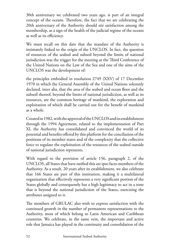30th anniversary we celebrated two years ago, is part of an integral concept of the oceans. Therefore, the fact that we are celebrating the 20th anniversary of the Authority should stir satisfaction among the membership, as a sign of the health of the judicial regime of the oceans as well as its efficiency.

We must recall on this date that the mandate of the Authority is intimately linked to the origin of the UNCLOS. In fact, the question of resources of the seabed and subsoil beyond the limits of national jurisdiction was the trigger for the meeting at the Third Conference of the United Nations on the Law of the Sea and one of the aims of the UNCLOS was the development of:

the principles embodied in resolution 2749 (XXV) of 17 December 1970 in which the General Assembly of the United Nations solemnly declared, inter alia, that the area of the seabed and ocean floor and the subsoil thereof, beyond the limits of national jurisdiction, as well as its resources, are the common heritage of mankind, the exploration and exploitation of which shall be carried out for the benefit of mankind as a whole.

Created in 1982, with the approval of the UNCLOS and its establishment through the 1994 Agreement, related to the implementation of Part XI, the Authority has consolidated and convinced the world of its potential and benefits offered by this platform for the conciliation of the positions of its member states and of the complexity that the collective force to regulate the exploitation of the resources of the seabed outside of national jurisdiction represents.

With regard to the provision of article 156, paragraph 2, of the UNCLOS, all States that have ratified this are ipso facto members of the Authority. As a result, 20 years after its establishment, we also celebrate that 166 States are part of this institution, making it a multilateral organization that effectively represents a very significant portion of the States globally and consequently has a high legitimacy to act in a zone that is beyond the national jurisdiction of the States, exercising the attributes assigned to it.

The members of GRULAC also wish to express satisfaction with the continued growth in the number of permanent representations to the Authority, most of which belong to Latin American and Caribbean countries. We celebrate, in the same vein, the important and active role that Jamaica has played in the continuity and consolidation of the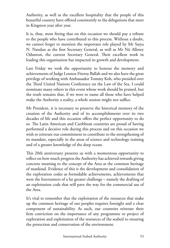Authority, as well as the excellent hospitality that the people of this beautiful country have offered consistently to the delegations that meet in Kingston year after year.

It is, thus, most fitting that on this occasion we should pay a tribute to the people who have contributed to this process. Without a doubt, we cannot forget to mention the important role played by Mr Satya N. Nandan as the first Secretary General, as well as Mr Nii Allotey Odunton, the current Secretary General. Their excellent work in leading this organization has impacted its growth and development.

Last Friday we took the opportunity to honour the memory and achievements of Judge Lennox Fitzroy Ballah and we also have the great privilege of working with Ambassador Tommy Koh, who presided over the Third United Nations Conference on the Law of the Sea. I could nominate many others in this event whose work should be praised, but the truth remains that, if we were to name all those who have helped make the Authority a reality, a whole session might not suffice.

Mr President, it is necessary to preserve the historical memory of the creation of the Authority and of its accomplishments over its two decades of life and this occasion offers the perfect opportunity to do so. The Latin American and Caribbean countries are proud of having performed a decisive role during this process and on this occasion we wish to reiterate our commitment to contribute to the strengthening of its mandate, especially in the areas of science and technology training and of a greater knowledge of the deep ocean.

This 20th anniversary presents us with a momentous opportunity to reflect on how much progress the Authority has achieved towards giving concrete meaning to the concept of the Area as the common heritage of mankind. Evidence of this is the development and consolidation of the exploration codes as formidable achievements, achievements that were the forerunners of a far greater challenge – namely the drafting of an exploitation code that will pave the way for the commercial use of the Area.

It's vital to remember that the exploitation of the resources that make up the common heritage of our peoples requires foresight and a clear component of sustainability. As such, our countries reiterate their firm conviction on the importance of any programme or project of exploration and exploitation of the resources of the seabed to ensuring the protection and conservation of the environment.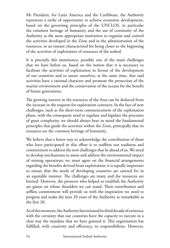Mr President, for Latin America and the Caribbean, the Authority represents a niche of opportunity to achieve economic development, based on the governing principles of the UNCLOS, in particular the common heritage of humanity and the use of continuity of the Authority as the most appropriate institution to organize and control the activities developed in the Zone and in the administration of the resources, in an instant characterized for being closer to the beginning of the activities of exploitation of resources of the seabed.

It is precisely this imminence, possibly one of the main challenges that we have before us, based on the notion that it is necessary to facilitate the activities of exploitation in favour of the development of our countries and to assure ourselves, at the same time, that said activities have a rational character and promote the protection of the marine environment and the conservation of the oceans for the benefit of future generations.

The growing interest in the resources of the Area can be deduced from the increase in the requests for exploration contracts. In the face of new challenges, such as the short-term commencement of the exploitation phase, with the consequent need to regulate and legislate the processes of great complexity, we should always bear in mind the fundamental principles that guide the activities within the Zone, principally that its resources are the common heritage of humanity.

We believe that a better way to acknowledge the contribution of those who have participated in this effort is to reaffirm our readiness and commitment to address the new challenges that lie ahead of us. We need to develop mechanisms to assess and address the environmental impact of mining operations; we must agree on the financial arrangements regarding the benefits derived from exploitation; it is equally important to ensure that the needs of developing countries are catered for in an equitable manner. The challenges are many and the resources are limited. However, the pioneers who helped to establish the Authority are giants on whose shoulders we can stand. Their contribution and selfless commitment will provide us with the inspiration we need to progress and make the next 20 years of the Authority as remarkable as the first 20.

As of this moment, the Authority has initiated its third decade of existence with the certainty that our countries have the capacity to execute in a clear way the mandate that we have granted it. This organization has fulfilled, with creativity and efficiency, its responsibilities. However,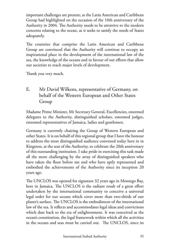important challenges are present; as the Latin American and Caribbean Group had highlighted on the occasion of the 10th anniversary of the Authority in 2004. The Authority needs to be attentive to the modern concerns relating to the ocean, as it seeks to satisfy the needs of States adequately.

The countries that comprise the Latin American and Caribbean Group are convinced that the Authority will continue to occupy an inspirational place in the development of the international law of the sea, the knowledge of the oceans and in favour of our efforts that allow our societies to reach major levels of development.

Thank you very much.

# E. Mr David Wilkens, representative of Germany, on behalf of the Western European and Other States Group

Madame Prime Minister, Mr Secretary General, Excellencies, esteemed delegates to the Authority, distinguished scholars, esteemed judges, esteemed representatives of Jamaica, ladies and gentlemen.

Germany is currently chairing the Group of Western European and other States. It is on behalf of this regional group that I have the honour to address the most distinguished audience convened today here in in Kingston, at the seat of the Authority, to celebrate the 20th anniversary of this outstanding institution. I take pride in exercising this task made all the more challenging by the array of distinguished speakers who have taken the floor before me and who have aptly represented and embodied the achievements of the Authority since its inception 20 years ago.

The UNCLOS was opened for signature 32 years ago in Montego Bay, here in Jamaica. The UNCLOS is the radiant result of a great effort undertaken by the international community to conceive a universal legal order for our oceans which cover more than two-thirds of our planet's surface. The UNCLOS is the embodiment of the international law of the sea. It reflects and accommodates legal ideas and convictions which date back to the era of enlightenment. It was conceived as the ocean's constitution, the legal framework within which all the activities in the oceans and seas must be carried out. The UNCLOS, since its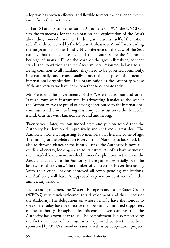adoption has proven effective and flexible to meet the challenges which ensue from these activities.

In Part XI and its Implementation Agreement of 1994, the UNCLOS sets the framework for the exploration and exploitation of the Area's abounding mineral resources. In doing so, it avails itself of the notion so brilliantly conceived by the Maltese Ambassador Arvid Pardo leading the negotiations of the Third UN Conference on the Law of the Sea, namely that the deep seabed and the resources are the "common heritage of mankind". At the core of the groundbreaking concept stands the conviction that the Area's mineral resources belong to all. Being common to all mankind, they need to be governed commonly, internationally and consensually under the auspices of a neutral international organization. This organization is the Authority whose 20th anniversary we have come together to celebrate today.

Mr President, the governments of the Western European and other States Group were instrumental in advocating Jamaica as the seat of the Authority. We are proud of having contributed to the international community's decision to bring this unique institution to this beautiful island. Our ties with Jamaica are sound and strong.

Twenty years later, we can indeed state and put on record that the Authority has developed impressively and achieved a great deal. The Authority, now encompassing 166 members, has literally come of age. The timing for the celebration is very fitting. Not only to look back but also to throw a glance at the future, just as the Authority is now, full of life and energy, looking ahead to its future. All of us have witnessed the remarkable momentum which mineral exploration activities in the Area, and at its core the Authority, have gained, especially over the last two to three years. The number of contractors is ever increasing. With the Council having approved all seven pending applications, the Authority will have 26 approved exploration contracts after this anniversary session.

Ladies and gentlemen, the Western European and other States Group (WEOG) very much welcomes this development and this success of the Authority. The delegations on whose behalf I have the honour to speak here today have been active members and committed supporters of the Authority throughout its existence. I even dare say that the Authority has grown dear to us. The commitment is also reflected by the fact that seven of the Authority's approved contracts have been sponsored by WEOG member states as well as by cooperation projects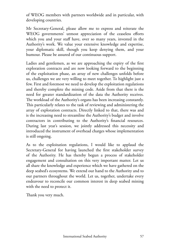of WEOG members with partners worldwide and in particular, with developing countries.

Mr Secretary-General, please allow me to express and reiterate the WEOG governments' utmost appreciation of the ceaseless efforts which you and your staff have, over so many years, invested in the Authority's work. We value your extensive knowledge and expertise, your diplomatic skill, though you keep denying them, and your humour. Please be assured of our continuous support.

Ladies and gentlemen, as we are approaching the expiry of the first exploration contracts and are now looking forward to the beginning of the exploitation phase, an array of new challenges unfolds before us, challenges we are very willing to meet together. To highlight just a few. First and foremost we need to develop the exploitation regulations and thereby complete the mining code. Aside from that there is the need for greater standardization of the data the Authority receives. The workload of the Authority's organs has been increasing constantly. This particularly relates to the task of reviewing and administering the array of exploration contracts. Directly linked to that, there was and is the increasing need to streamline the Authority's budget and involve contractors in contributing to the Authority's financial resources. During last year's session, we jointly addressed this necessity and introduced the instrument of overhead charges whose implementation is still ongoing.

As to the exploitation regulations, I would like to applaud the Secretary-General for having launched the first stakeholder survey of the Authority. He has thereby begun a process of stakeholder engagement and consultation on this very important matter. Let us all share the knowledge and experience which we have gathered on the deep seabed's ecosystems. We extend our hand to the Authority and to our partners throughout the world. Let us, together, undertake every endeavour to reconcile our common interest in deep seabed mining with the need to protect it.

Thank you very much.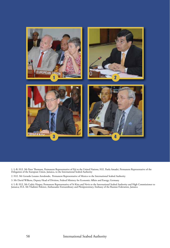

1. L-R: H.E. Mr Peter Thomson, Permanent Representative of Fiji to the United Nations, H.E. Paola Amadei, Permanent Representative of the Delegation of the European Union, Jamaica, to the International Seabed Authority

2. H.E. Mr Gerardo Lozano Arredondo, Permanent Representative of Mexico to the International Seabed Authority

3. Mr David Wilkens, Deputy Head of Division, Federal Ministry for Economic Affairs and Energy, Germany

4. L-R: H.E. Mr Cedric Harper, Permanent Representative of St Kitts and Nevis to the International Seabed Authority and High Commissioner to<br>Jamaica; H.E. Mr Vladimir Polenov, Ambassador Extraordinary and Plenipotentiary,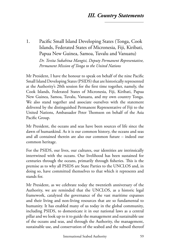# *III. Country Statements*

1. Pacific Small Island Developing States (Tonga, Cook Islands, Federated States of Micronesia, Fiji, Kiribati, Papua New Guinea, Samoa, Tuvalu and Vanuatu) *Dr. Tevita Sukahina Mangisi, Deputy Permanent Representative, Permanent Mission of Tonga to the United Nations*

Mr President, I have the honour to speak on behalf of the nine Pacific Small Island Developing States (PSIDS) that are historically represented at the Authority's 20th session for the first time together, namely, the Cook Islands, Federated States of Micronesia, Fiji, Kiribati, Papua New Guinea, Samoa, Tuvalu, Vanuatu, and my own country Tonga. We also stand together and associate ourselves with the statement delivered by the distinguished Permanent Representative of Fiji to the United Nations, Ambassador Peter Thomson on behalf of the Asia Pacific Group.

Mr President, the oceans and seas have been sources of life since the dawn of humankind. As it is our common history, the oceans and seas and all contained therein are also our common future – indeed our common heritage.

For the PSIDS, our lives, our cultures, our identities are intrinsically intertwined with the oceans. Our livelihood has been sustained for centuries through the oceans, primarily through fisheries. This is the premise as to why all PSIDS are State Parties to the UNCLOS and, in doing so, have committed themselves to that which it represents and stands for.

Mr President, as we celebrate today the twentieth anniversary of the Authority, we are reminded that the UNCLOS, as a historic legal framework, catalyzed the governance of the vast maritime expanses and their living and non-living resources that are so fundamental to humanity. It has enabled many of us today in the global community, including PSIDS, to domesticate it in our national laws as a central pillar and we look up to it to guide the management and sustainable use of the oceans and seas, and through the Authority, the management, sustainable use, and conservation of the seabed and the subsoil thereof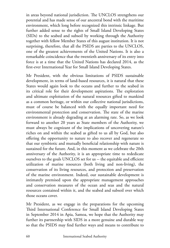in areas beyond national jurisdiction. The UNCLOS strengthens our potential and has made sense of our ancestral bond with the maritime environment, which long before recognized this intrinsic linkage. But further added sense to the rights of Small Island Developing States (SIDs) to the seabed and subsoil by working through the Authority together with fellow Member States of this august institution. It is not surprising, therefore, that all the PSIDS are parties to the UNCLOS, one of the greatest achievements of the United Nations. It is also a remarkable coincidence that the twentieth anniversary of its entry into force is at a time that the United Nations has declared 2014, as the first-ever International Year for Small Island Developing States.

Mr President, with the obvious limitations of PSIDS sustainable development, in terms of land-based resources, it is natural that these States would again look to the oceans and further to the seabed in its critical role for their development aspirations. The exploration and ultimate exploitation of the natural resources gifted to mankind as a common heritage, or within our collective national jurisdictions, must of course be balanced with the equally important need for environmental protection and conservation. The state of the marine environment is already degrading at an alarming rate. So, as we look forward to another 20 years as State members of the Authority, we must always be cognizant of the implications of uncovering nature's riches on and within the seabed as gifted to us all by God, but also offering the opportunity to nature to also recover and regenerate so that our symbiotic and mutually beneficial relationship with nature is sustained for the future. And, in this moment as we celebrate the 20th anniversary of the Authority, it is an appropriate time to rededicate ourselves to the goals UNCLOS set for us -- the equitable and efficient utilization of marine resources (both living and non-living), the conservation of its living resources, and protection and preservation of the marine environment. Indeed, our sustainable development is intimately premised upon the appropriate management approaches and conservation measures of the ocean and seas and the natural resources contained within it, and the seabed and subsoil over which those oceans cover.

Mr President, as we engage in the preparations for the upcoming Third International Conference for Small Island Developing States in September 2014 in Apia, Samoa, we hope that the Authority may further its partnership with SIDS in a more genuine and durable way so that the PSIDS may find further ways and means to contribute to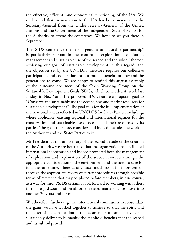the effective, efficient, and economical functioning of the ISA. We understand that an invitation to the ISA has been presented to the Secretary-General from the Under-Secretary-General of the United Nations and the Government of the Independent State of Samoa for the Authority to attend the conference. We hope to see you there in September.

This SIDS conference theme of "genuine and durable partnership" is particularly relevant in the context of exploration, exploitation management and sustainable use of the seabed and the subsoil thereof: achieving our goal of sustainable development in this regard, and the objectives set by the UNCLOS therefore requires our collective participation and cooperation for our mutual benefit for now and the generations to come. We are happy to remind this august assembly of the outcome document of the Open Working Group on the Sustainable Development Goals (SDGs) which concluded its work last Friday, in New York. The proposed SDGs feature a proposed goal to "Conserve and sustainably use the oceans, seas and marine resources for sustainable development". The goal calls for the full implementation of international law, as reflected in UNCLOS for States Parties, including, where applicable, existing regional and international regimes for the conservation and sustainable use of oceans and their resources by its parties. The goal, therefore, considers and indeed includes the work of the Authority and the States Parties to it.

Mr President, at this anniversary of the second decade of the creation of the Authority, we are heartened that the organization has facilitated international cooperation and indeed promoted both the management of exploration and exploitation of the seabed resources through the appropriate consideration of the environment and the need to care for it at the same time. There is, of course, much room for improvement through the appropriate review of current procedures through possible terms of reference that may be placed before members, in due course, as a way forward. PSIDS certainly look forward to working with others in this regard soon and on all other related matters as we move into another 20 years and beyond.

We, therefore, further urge the international community to consolidate the gains we have worked together to achieve so that the spirit and the letter of the constitution of the ocean and seas can effectively and sustainably deliver to humanity the manifold benefits that the seabed and its subsoil provide.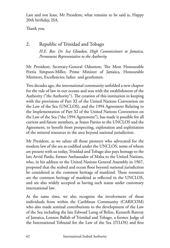Last and not least, Mr President, what remains to be said is, Happy 20th birthday, ISA.

Thank you.

2. Republic of Trinidad and Tobago *H.E. Rev. Dr. Iva Gloudon, High Commissioner to Jamaica, Permanent Representative to the Authority*

Mr President; Secretary-General Odunton; The Most Honourable Portia Simpson-Miller, Prime Minister of Jamaica, Honourable Ministers, Excellencies; ladies and gentlemen.

Two decades ago, the international community unfolded a new chapter for the rule of law in our oceans and seas with the establishment of the Authority ("the Authority"). The creation of this institution in keeping with the provisions of Part XI of the United Nations Convention on the Law of the Sea (UNCLOS), and the 1994 Agreement Relating to the Implementation of Part XI of the United Nations Convention on the Law of the Sea ("the 1994 Agreement"), has made it possible for all current and future members, as States Parties to the UNCLOS and the Agreement, to benefit from prospecting, exploration and exploitation of the mineral resources in the area beyond national jurisdiction.

Mr President, as we salute all those pioneers who advocated for the modern law of the sea as codified under the UNCLOS, some of whom are present with us today, Trinidad and Tobago also pays homage to the late Arvid Pardo, former Ambassador of Malta to the United Nations, who, in his address to the United Nations General Assembly in 1967, proposed that the seabed and ocean floor beyond national jurisdiction be considered as the common heritage of mankind. These resources are the common heritage of mankind as reflected in the UNCLOS, and are also widely accepted as having such status under customary international law.

At the same time, we also recognize the involvement of those individuals from within the Caribbean Community (CARICOM) who also made seminal contributions to the development of the Law of the Sea including the late Edward Laing of Belize, Kenneth Rattray of Jamaica, Lennox Ballah of Trinidad and Tobago, a former Judge of the International Tribunal for the Law of the Sea (ITLOS) and first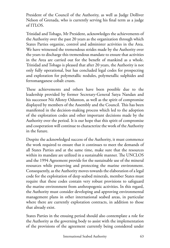President of the Council of the Authority, as well as Judge Dolliver Nelson of Grenada, who is currently serving his final term as a judge of ITLOS.

Trinidad and Tobago, Mr President, acknowledges the achievements of the Authority over the past 20 years as the organization through which States Parties organize, control and administer activities in the Area. We have witnessed the tremendous strides made by the Authority over the years to discharge this tremendous mandate to ensure that activities in the Area are carried out for the benefit of mankind as a whole. Trinidad and Tobago is pleased that after 20 years, the Authority is not only fully operational, but has concluded legal codes for prospecting and exploration for polymetallic nodules, polymetallic sulphides and ferromanganese cobalt crusts.

These achievements and others have been possible due to the leadership provided by former Secretary-General Satya Nandan and his successor Nii Allotey Odunton, as well as the spirit of compromise displayed by members of the Assembly and the Council. This has been manifested in the decision-making process which led to the adoption of the exploration codes and other important decisions made by the Authority over the period. It is our hope that this spirit of compromise and cooperation will continue to characterize the work of the Authority in the future.

Despite the acknowledged success of the Authority, it must commence the work required to ensure that it continues to meet the demands of all States Parties and at the same time, make sure that the resources within its mandate are utilized in a sustainable manner. The UNCLOS and the 1994 Agreement provide for the sustainable use of the mineral resources while preserving and protecting the marine environment. Consequently, as the Authority moves towards the elaboration of a legal code for the exploitation of deep seabed minerals, member States must require that these codes contain very robust provisions to safeguard the marine environment from anthropogenic activities. In this regard, the Authority must consider developing and approving environmental management plans in other international seabed areas, in particular where there are currently exploration contracts, in addition to those that already exist.

States Parties in the ensuing period should also contemplate a role for the Authority as the governing body to assist with the implementation of the provisions of the agreement currently being considered under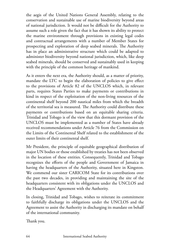the aegis of the United Nations General Assembly, relating to the conservation and sustainable use of marine biodiversity beyond areas of national jurisdiction. It would not be difficult for the Authority to assume such a role given the fact that it has shown its ability to protect the marine environment through provisions in existing legal codes and contractual arrangements with a number of Member States for prospecting and exploration of deep seabed minerals. The Authority has in place an administrative structure which could be adapted to administer biodiversity beyond national jurisdiction, which, like deep seabed minerals, should be conserved and sustainably used in keeping with the principle of the common heritage of mankind.

As it enters the next era, the Authority should, as a matter of priority, mandate the LTC to begin the elaboration of policies to give effect to the provisions of Article 82 of the UNCLOS which, in relevant parts, requires States Parties to make payments or contributions in kind in respect of the exploitation of the non-living resources of the continental shelf beyond 200 nautical miles from which the breadth of the territorial sea is measured. The Authority could distribute these payments or contributions based on an equitable sharing criteria. Trinidad and Tobago is of the view that this dormant provision of the UNCLOS must be implemented as a number of States have already received recommendations under Article 76 from the Commission on the Limits of the Continental Shelf related to the establishment of the outer limits of their continental shelf.

Mr President, the principle of equitable geographical distribution of major UN bodies or those established by treaties has not been observed in the location of these entities. Consequently, Trinidad and Tobago recognizes the efforts of the people and Government of Jamaica in having the headquarters of the Authority, situated here in Kingston. We commend our sister CARICOM State for its contributions over the past two decades, in providing and maintaining the site of the headquarters consistent with its obligations under the UNCLOS and the Headquarters' Agreement with the Authority.

In closing, Trinidad and Tobago, wishes to reiterate its commitment to faithfully discharge its obligations under the UNCLOS and the Agreement to assist the Authority in discharging its mandate on behalf of the international community.

Thank you.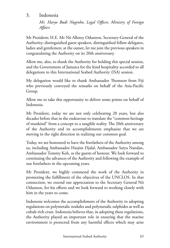## 3. Indonesia

*Mr. Haryo Budi Nugroho, Legal Officer, Ministry of Foreign Affairs*

Mr President; H.E. Mr Nii Allotey Odunton, Secretary-General of the Authority; distinguished guest speakers, distinguished fellow delegates, ladies and gentlemen; at the outset, let me join the previous speakers in congratulating the Authority on its 20th anniversary.

Allow me, also, to thank the Authority for holding this special session, and the Government of Jamaica for the kind hospitality accorded to all delegations to this International Seabed Authority (ISA) session.

My delegation would like to thank Ambassador Thomson from Fiji who previously conveyed the remarks on behalf of the Asia-Pacific Group.

Allow me to take this opportunity to deliver some points on behalf of Indonesia.

Mr President, today we are not only celebrating 20 years, but also decades before that in the endeavour to translate the "common heritage of mankind" from a concept to a tangible reality. The 20th anniversary of the Authority and its accomplishments emphasize that we are moving in the right direction in realizing our common goal.

Today, we are honoured to have the forefathers of the Authority among us, including Ambassador Hasjim Djalal, Ambassador Satya Nandan, Ambassador Tommy Koh, as the guests of honour. We look forward to continuing the advances of the Authority and following the example of our forefathers in the upcoming years.

Mr President, we highly commend the work of the Authority in promoting the fulfillment of the objectives of the UNCLOS. In that connection, we extend our appreciation to the Secretary General Nii Odunton, for his efforts and we look forward to working closely with him in the years to come.

Indonesia welcomes the accomplishment of the Authority in adopting regulations on polymetalic nodules and polymetalic sulphides as well as cobalt-rich crust. Indonesia believes that, in adopting these regulations, the Authority played an important role in ensuring that the marine environment is protected from any harmful effects which may arise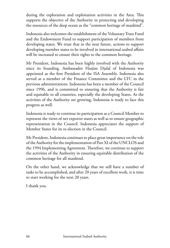during the exploration and exploitation activities in the Area. This supports the objective of the Authority in protecting and developing the resources of the deep ocean as the "common heritage of mankind".

Indonesia also welcomes the establishment of the Voluntary Trust Fund and the Endowment Fund to support participation of members from developing states. We trust that in the near future, actions to support developing member states to be involved in international seabed affairs will be increased to ensure their rights to the common heritage.

Mr President, Indonesia has been highly involved with the Authority since its founding. Ambassador Hasjim Djalal of Indonesia was appointed as the first President of the ISA Assembly. Indonesia also served as a member of the Finance Committee and the LTC in the previous administrations. Indonesia has been a member of the Council since 1996, and is committed to ensuring that the Authority is fair and equitable to all countries, especially the developing States. As the activities of the Authority are growing, Indonesia is ready to face this progress as well.

Indonesia is ready to continue its participation as a Council Member to represent the views of net exporter states as well as to ensure geographic representation in the Council. Indonesia appreciates the support of Member States for its re-election in the Council.

Mr President, Indonesia continues to place great importance on the role of the Authority for the implementation of Part XI of the UNCLOS and the 1994 Implementing Agreement. Therefore, we continue to support the activities of the Authority in ensuring equitable distribution of the common heritage for all mankind.

On the other hand, we acknowledge that we still have a number of tasks to be accomplished, and after 20 years of excellent work, it is time to start working for the next 20 years.

I thank you.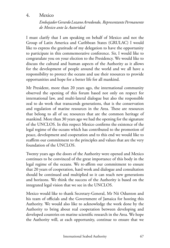## 4. Mexico

*Embajador Gerardo Lozano Arredondo, Representante Permanente de Mexico ante la Autoridad*

I must clarify that I am speaking on behalf of Mexico and not the Group of Latin America and Caribbean States (GRULAC) I would like to express the gratitude of my delegation to have the opportunity to participate in this commemorative conference. Sir, I would like to congratulate you on your election to the Presidency. We would like to discuss the cultural and human aspects of the Authority as it allows for the development of people around the world and we all have a responsibility to protect the oceans and use their resources to provide opportunities and hope for a better life for all mankind.

Mr President, more than 20 years ago, the international community observed the opening of this forum based not only on respect for international law, and multi-lateral dialogue but also the responsible zeal to do work that transcends generations, that is the conservation and regulation of marine resources in the Area. These are resources that belong to all of us; resources that are the common heritage of mankind. More than 30 years ago we had the opening for the signature of the UNCLOS. In this respect Mexico confirms the existence of the legal regime of the oceans which has contributed to the promotion of peace, development and cooperation and to this end we would like to reaffirm our commitment to the principles and values that are the very foundation of the UNCLOS.

Twenty years ago the doors of the Authority were opened and Mexico continues to be convinced of the great importance of this body in the legal regime of the oceans. We re-affirm our commitment to ensure that 20 years of cooperation, hard work and dialogue and consultation should be continued and multiplied so it can reach new generations and horizons. We think the success of the Authority is based on the integrated legal vision that we see in the UNCLOS.

Mexico would like to thank Secretary-General, Mr Nii Odunton and his team of officials and the Government of Jamaica for hosting this Authority. We would also like to acknowledge the work done by the Authority to bring about real cooperation between developing and developed countries on marine scientific research in the Area. We hope the Authority will, at each opportunity, continue to ensure that we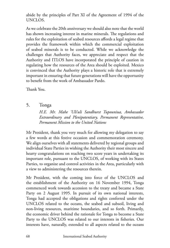abide by the principles of Part XI of the Agreement of 1994 of the UNCLOS.

As we celebrate the 20th anniversary we should also note that the world has shown increasing interest in marine minerals. The regulations and rules for the exploitation of seabed resources affords a legal regime that provides the framework within which the commercial exploitation of seabed minerals is to be conducted. While we acknowledge the challenges that Authority faces, we appreciate and respect that the Authority and ITLOS have incorporated the principle of caution in regulating how the resources of the Area should be exploited. Mexico is convinced that the Authority plays a historic role that is extremely important in ensuring that future generations will have the opportunity to benefit from the work of Ambassador Pardo.

Thank You.

5. Tonga

*H.E. Mr. Mahe 'Uli'uli Sandhurst Tupouniua, Ambassador Extraordinary and Plenipotentiary, Permanent Representative, Permanent Mission to the United Nations*

Mr President, thank you very much for allowing my delegation to say a few words at this festive occasion and commemoration ceremony. We align ourselves with all statements delivered by regional groups and individual State Parties in wishing the Authority their most sincere and hearty congratulations on reaching two score years in undertaking its important role, pursuant to the UNCLOS, of working with its States Parties, to organize and control activities in the Area, particularly with a view to administering the resources therein.

Mr President, with the coming into force of the UNCLOS and the establishment of the Authority on 16 November 1994, Tonga commenced work towards accession to the treaty and became a State Party on 2 August 1995. In pursuit of its own national interests, Tonga had accepted the obligations and rights conferred under the UNCLOS related to the oceans, the seabed and subsoil, living and non-living resources, maritime boundaries, and so forth. Primarily, the economic driver behind the rationale for Tonga to become a State Party to the UNCLOS was related to our interests in fisheries. Our interests have, naturally, extended to all aspects related to the oceans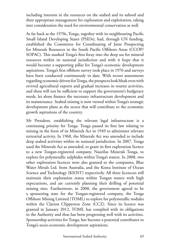including interests in the resources on the seabed and its subsoil and their appropriate management for exploration and exploitation, taking into consideration the need for environmental conservation as well.

As far back as the 1970s, Tonga, together with its neighbouring Pacific Small Island Developing States (PSIDs), had, through UN funding, established the Committee for Coordinating of Joint Prospecting for Minerals Resources in the South Pacific Offshore Areas (CCOP/ SOPAC). This marked Tonga's first foray into the deep sea for mineral resources within its national jurisdiction and with it hope that it would become a supporting pillar for Tonga's economic development aspirations. Tonga's first offshore survey took place in 1976 and surveys have been conducted continuously to date. With recent assessments regarding economic drivers for Tonga, the prospects look bleak even with revived agricultural exports and gradual increases in tourist activities, and these will not be sufficient to support the government's budgetary needs, let alone finance the necessary infrastructure development and its maintenance. Seabed mining is now viewed within Tonga's strategic development plans as the sector that will contribute to the economic growth aspirations of the country.

Mr President, establishing the relevant legal infrastructure is a continuing priority for Tonga. Tonga passed its first law relating to mining in the form of its Minerals Act in 1949 to administer relevant terrestrial activity. In 1968, the Minerals Act was amended to include deep seabed activities within its national jurisdiction. In 2007, Tonga used the Minerals Act as amended, to grant its first exploration licence to a new Tongan-registered company, Nautilus Minerals Tonga, to explore for polymetallic sulphides within Tonga's waters. In 2008, two other exploration licences were also granted to the companies, Blue Water Metals Ltd. from Australia, and the Korea Institute of Ocean Science and Technology (KIOST) respectively. All three licencees still maintain their exploration status within Tongan waters with high expectations, and are currently planning their drilling of potential mining sites. Furthermore, in 2008, the government agreed to be a sponsoring state for the Tongan-registered company, the Tonga Offshore Mining Limited (TOML) to explore for polymetallic nodules within the Clarion Clipperton Zone (CCZ). Since its licence was granted in January 2012, TOML has complied with its obligations to the Authority and thus has been progressing well with its activities. Sponsorship activities for Tonga, hav become a potential contributor to Tonga's socio-economic development aspirations.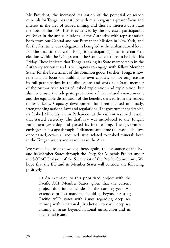Mr President, the increased realization of the potential of seabed minerals for Tonga, has instilled with much vigour, a greater focus and interest in the area of seabed mining and thus its interests as a State member of the ISA. This is evidenced by the increased participation of Tonga in the annual sessions of the Authority with representation both from our Capital and our Permanent Mission in New York, and for the first time, our delegation is being led at the ambassadorial level. For the first time as well, Tonga is participating in an international election within the UN system – the Council elections to be held this Friday. These indicate that Tonga is taking its State membership in the Authority seriously and is willingness to engage with fellow Member States for the betterment of the common good. Further, Tonga is now renewing its focus on building its own capacity to not only ensure its full participation in the discussions and work as a State member of the Authority in terms of seabed exploration and exploitation, but also to ensure the adequate protection of the natural environment, and the equitable distribution of the benefits derived from the seabed to its citizens. Capacity development has been focused on: firstly, strengthening national laws and regulations. The government had tabled its Seabed Minerals law in Parliament at the current resumed session that started yesterday. The draft law was introduced to the Tongan Parliament yesterday and passed its first reading. The government envisages its passage through Parliament sometime this week. The law, once passed, covers all required issues related to seabed minerals both in the Tongan waters and as well as in the Area.

We would like to acknowledge here, again, the assistance of the EU and its Member States through the Deep Sea Minerals Project under the SOPAC Division of the Secretariat of the Pacific Community. We hope that the EU and its Member States will consider the following positively.

> (i) An extension to this prioritized project with the Pacific ACP Member States, given that the current project duration concludes in the coming year. An extended project mandate should go beyond assisting Pacific ACP states with issues regarding deep sea mining within national jurisdiction to cover deep sea mining in areas beyond national jurisdiction and its incidental issues.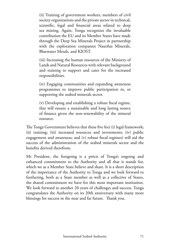(ii) Training of government workers, members of civil society organizations and the private sector in technical, scientific, legal and financial areas related to deep sea mining. Again, Tonga recognizes the invaluable contribution the EU and its Member States have made through the Deep Sea Minerals Project in partnership with the exploration companies Nautilus Minerals, Bluewater Metals, and KIOST.

(iii) Increasing the human resources of the Ministry of Lands and Natural Resources with relevant background and training to support and cater for the increased responsibilities.

(iv) Engaging communities and expanding awareness programmes to improve public participation in, or supporting the seabed minerals sector.

(v) Developing and establishing a robust fiscal regime, that will ensure a sustainable and long lasting source of finance given the non-renewability of the mineral resource.

The Tonga Government believes that these five foci (i) legal framework; (ii) training; (iii) increased resources and investments; (iv) public engagement and awareness; and (v) robust fiscal regimes) will aid the success of the administration of the seabed minerals sector and the benefits derived therefrom.

Mr President, the foregoing is a précis of Tonga's ongoing and enhanced commitment to the Authority and all that it stands for, which we as a Member State believe and share. It is a short description of the importance of the Authority to Tonga and we look forward to furthering, both as a State member as well as a collective of States, the shared commitment we have for this most important institution. We look forward to another 20 years of challenges and success. Tonga congratulates the Authority on its 20th anniversary with many more blessings for success in the near and far future. Thank you.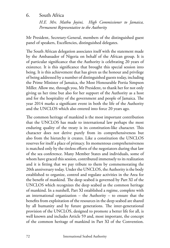#### 6. South Africa

*H.E. Mrs. Mathu Joyini, High Commissioner to Jamaica, Permanent Representative to the Authority*

Mr President, Secretary-General, members of the distinguished guest panel of speakers, Excellencies, distinguished delegates.

The South African delegation associates itself with the statement made by the Ambassador of Nigeria on behalf of the African group. It is of particular significance that the Authority is celebrating 20 years of existence. It is this significance that brought this special session into being. It is this achievement that has given us the honour and privilege of being addressed by a number of distinguished guests today, including the Prime Minister of Jamaica, the Most Honourable Portia Simpson Miller. Allow me, through you, Mr President, to thank her for not only giving us her time but also for her support of the Authority as a host and for the hospitality of the government and people of Jamaica. The year 2014 marks a significant event in both the life of the Authority and the UNCLOS which also entered into force 20 years ago.

The common heritage of mankind is the most important contribution that the UNCLOS has made to international law perhaps the most enduring quality of the treaty is its constitution-like character. This character does not derive purely from its comprehensiveness but also from the hierarchy it creates. Like a constitution the UNCLOS reserves for itself a place of primacy. Its momentous comprehensiveness is matched only by the tireless efforts of the negotiators during that law of the sea conference. Many Member States and individuals, some of whom have graced this session, contributed immensely to its realization and it is fitting that we pay tribute to them by commemorating the 20th anniversary today. Under the UNCLOS, the Authority is the body established to organize, control and regulate activities in the Area for the benefit of mankind. The deep seabed is governed by Part XI of the UNCLOS which recognizes the deep seabed as the common heritage of mankind. In a nutshell, Part XI established a regime, complete with an international organization – the Authority – to ensure that the benefits from exploitation of the resources in the deep seabed are shared by all humanity and by future generations. The inter-generational provision of the UNCLOS, designed to promote a better life for all, is well known and includes Article 59 and, most important, the concept of the common heritage of mankind in Part XI of the Convention.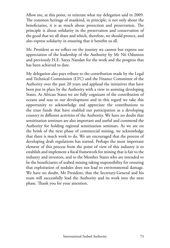Allow me, at this point, to reiterate what my delegation said in 2009. The common heritage of mankind, in principle, is not only about the beneficiaries, it is as much about protection and preservation. The principle is about solidarity in the preservation and conservation of the good that we all share and which, therefore, we should protect, and also express solidarity in ensuring that it benefits us all.

Mr. President as we reflect on the journey we cannot but express our appreciation of the leadership of the Authority by Mr Nii Odunton and previously H.E. Satya Nandan for the work and the progress that has been achieved to date.

My delegation also pays tribute to the contribution made by the Legal and Technical Commission (LTC) and the Finance Committee of the Authority over the past 20 years and applaud the initiatives that have been put in place by the Authority with a view to assisting developing States. As African States we are fully cognizant of the contribution of oceans and seas to our development and in this regard we take this opportunity to acknowledge and appreciate the contributions to the trust funds that have enabled our participation as a developing country in different activities of the Authority. We have no doubt that sensitization seminars are also important and useful and commend the Authority for holding regional sensitization seminars. As we are on the brink of the next phase of commercial mining, we acknowledge that there is much work to do. We are encouraged that the process of developing draft regulations has started. Perhaps the most important element of this process from the point of view of this industry is to establish and implement a fiscal framework for mining that is fair to the industry and investors, and to the Member States who are intended to be the beneficiaries of seabed mining taking responsibility for ensuring that exploitation of nodules does not lead to environmental damage. We have no doubt, Mr President, that the Secretary-General and his team will successfully lead the Authority and its work into the next phase. Thank you for your attention.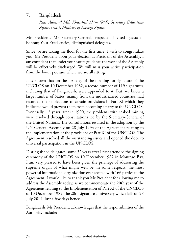## 7. Bangladesh

*Rear Admiral Md. Khurshed Alam (Rtd), Secretary (Maritime Affairs Unit), Ministry of Foreign Affairs*

Mr President, Mr Secretary-General, respected invited guests of honour, Your Excellencies, distinguished delegates.

Since we are taking the floor for the first time, I wish to congratulate you, Mr President upon your election as President of the Assembly. I am confident that under your astute guidance the work of the Assembly will be effectively discharged. We will miss your active participation from the lower podium where we are all sitting.

It is known that on the first day of the opening for signature of the UNCLOS on 10 December 1982, a record number of 119 signatures, including that of Bangladesh, were appended to it. But, we know a large number of States, mainly from the industrialized countries, had recorded their objections to certain provisions in Part XI which they indicated would prevent them from becoming a party to the UNCLOS. Eventually, 12 years later in 1990, the problems with seabed mining were resolved through consultations led by the Secretary-General of the United Nations. The consultations resulted in the adoption by the UN General Assembly on 28 July 1994 of the Agreement relating to the implementation of the provisions of Part XI of the UNCLOS. The Agreement resolved all the outstanding issues and opened the door to universal participation in the UNCLOS.

Distinguished delegates, some 32 years after I first attended the signing ceremony of the UNCLOS on 10 December 1982 in Montego Bay, I am very pleased to have been given the privilege of addressing the supreme organ of what might well be, in some respects, the most powerful international organization ever created with 166 parties to the Agreement. I would like to thank you Mr President for allowing me to address the Assembly today, as we commemorate the 20th year of the Agreement relating to the Implementation of Part XI of the UNCLOS of 10 December 1982, the 20th signature anniversary which falls on 28 July 2014, just a few days hence.

Bangladesh, Mr President, acknowledges that the responsibilities of the Authority include: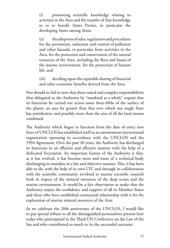(i) promoting scientific knowledge relating to activities in the Area and the transfer of that knowledge so as to benefit States Parties, in particular the developing States among them;

(ii) the adoption of rules, regulations and procedures for the prevention, reduction and control of pollution and other hazards, in particular from activities in the Area, for the protection and conservation of the natural resources of the Area, including the flora and fauna of the marine environment, for the protection of human life; and

(iii) deciding upon the equitable sharing of financial and other economic benefits derived from the Area.

Nor should we fail to note that these varied and complex responsibilities thus delegated to the Authority by "mankind as a whole" require that its functions be carried out across some three-fifths of the surface of the planet, an area far greater than that over which any single State has jurisdiction, and possibly more than the area of all the land masses combined.

The Authority which began to function from the date of entry into force of UNCLOS has established itself as an autonomous international organization operating in accordance with the UNCLOS and the 1994 Agreement. Over the past 20 years, the Authority has discharged its functions in an efficient and effective manner with the help of a dedicated Secretariat. An important feature of the Authority is that, as it has evolved, it has become more and more of a technical body discharging its mandate in a fair and objective manner. This, it has been able to do, with the help of its own LTC and through its collaboration with the scientific community involved in marine scientific research both in respect of the mineral resources of the deep ocean and the marine environment. It would be a fair observation to make that the Authority enjoys the confidence and support of all its Member States and those who have established contractual relationship with it for the exploration of marine mineral resources of the Area.

As we celebrate the 20th anniversary of the UNCLOS, I would like to pay special tribute to all the distinguished personalities present here today who participated in the Third UN Conference on the Law of the Sea and who contributed so much to its the successful outcome.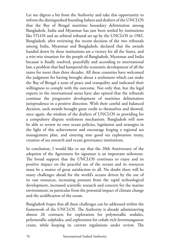Let me digress a bit from the Authority and take this opportunity to inform the distinguished founding fathers and drafters of the UNCLOS that the Bay of Bengal maritime boundary delimitation among Bangladesh, India and Myanmar has just been settled by institutions like ITLOS and an arbitral tribunal set up by the UNCLOS in 1982. Bangladesh, after reviewing the recent decision of the two tribunals among India, Myanmar and Bangladesh, declared that the awards handed down by these institutions are a victory for all the States, and a win-win situation for the people of Bangladesh, Myanmar and India because it finally resolved, peacefully and according to international law, a problem that had hampered the economic development of all the states for more than three decades. All these countries have welcomed the judgment for having brought about a settlement which can make the Bay of Bengal a zone of peace and tranquility and indicated their willingness to comply with the outcome. Not only that, but the legal experts in the international arena have also opined that the tribunals continue the progressive development of maritime delimitation jurisprudence in a positive direction. With their careful and balanced decision, such awards brought great credit to themselves and showed, once again, the wisdom of the drafters of UNCLOS in providing for a compulsory dispute settlement mechanism. Bangladesh will now be able to review its own ocean policies, legislation and strategies in the light of this achievement and encourage forging a regional sea management plan, and entering into good sea exploration treaty, creation of sea research and ocean governance institutions.

In conclusion, I would like to say that the 20th Anniversary of the adoption of the Agreement for signature is an important milestone. The broad support that the UNCLOS continues to enjoy and its positive impact on the peaceful use of the oceans and its resources must be a matter of great satisfaction to all. No doubt there will be many challenges ahead for the world's oceans driven by the use of its vast resources, increasing pressure from the rapid technological development, increased scientific research and concern for the marine environment, in particular from the potential impact of climate change and the acidification of the ocean.

Bangladesh hopes that all these challenges can be addressed within the framework of the UNCLOS. The Authority is already administering almost 26 contracts for exploration for polymetallic nodules, polymetallic sulphides, and exploration for cobalt-rich ferromanganese crusts, while keeping its current regulations under review. The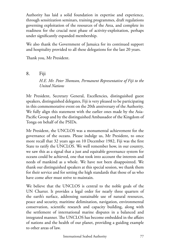Authority has laid a solid foundation in expertise and experience, through sensitization seminars, training programmes, draft regulations governing exploitation of the resources of the Area, and complete its readiness for the crucial next phase of activity-exploitation, perhaps under significantly expanded membership.

We also thank the Government of Jamaica for its continued support and hospitality provided to all these delegations for the last 20 years.

Thank you, Mr President.

8. Fiji

*H.E. Mr. Peter Thomson, Permanent Representative of Fiji to the United Nations* 

Mr President, Secretary General, Excellencies, distinguished guest speakers, distinguished delegates, Fiji is very pleased to be participating in this commemorative event on the 20th anniversary of the Authority. We fully align this statement with the earlier ones made by the Asia-Pacific Group and by the distinguished Ambassador of the Kingdom of Tonga on behalf of the PSIDs.

Mr President, the UNCLOS was a monumental achievement for the governance of the oceans. Please indulge us, Mr President, to once more recall that 32 years ago on 10 December 1982, Fiji was the first State to ratify the UNCLOS. We well remember how, in our country, we saw this as a signal that a just and equitable governance system for oceans could be achieved, one that took into account the interests and needs of mankind as a whole. We have not been disappointed. We thank our distinguished speakers at this special session, we thank them for their service and for setting the high standards that those of us who have come after must strive to maintain.

We believe that the UNCLOS is central to the noble goals of the UN Charter. It provides a legal order for nearly three quarters of the earth's surface, addressing sustainable use of natural resources, peace and security, maritime delimitation, navigation, environmental conservation, scientific research and capacity building, along with the settlement of international marine disputes in a balanced and integrated manner. The UNCLOS has become embedded in the affairs of nations and the health of our planet, providing a guiding example to other areas of law.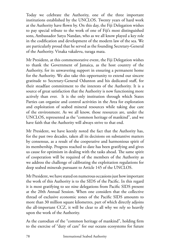Today we celebrate the Authority, one of the three important institutions established by the UNCLOS. Twenty years of hard work at the Authority have flown by. On this day, the Fiji Delegation wishes to pay special tribute to the work of one of Fiji's most distinguished sons, Ambassador Satya Nandan, who as we all know played a key role in the codification and development of the modern law of the sea. We are particularly proud that he served as the founding Secretary-General of the Authority. Vinaka vakalevu, turaga mata.

Mr President, at this commemorative event, the Fiji Delegation wishes to thank the Government of Jamaica, as the host country of the Authority, for its unwavering support in ensuring a permanent home for the Authority. We also take this opportunity to extend our sincere gratitude to Secretary-General Odunton and his dedicated staff, for their steadfast commitment to the interests of the Authority. It is a source of great satisfaction that the Authority is now functioning more actively than ever. It is the only institution through which States Parties can organize and control activities in the Area for exploration and exploitation of seabed mineral resources while taking due care of the environment. As we all know, those resources are, under the UNCLOS, represented as the "common heritage of mankind", and we have faith that the Authority will always strive to that end.

Mr President, we have keenly noted the fact that the Authority has, for the past two decades, taken all its decisions on substantive matters by consensus, as a result of the cooperative and harmonious spirit of its membership. Progress reached to date has been gratifying and gives us cause for optimism in dealing with the tasks ahead. The same spirit of cooperation will be required of the members of the Authority as we address the challenge of calibrating the exploitation regulations for deep seabed minerals pursuant to Article 145 of the UNCLOS.

Mr President, we have stated on numerous occasions just how important the work of this Authority is to the SIDS of the Pacific. In this regard it is most gratifying to see nine delegations from Pacific SIDS present at the 20th Annual Session. When one considers that the collective thread of exclusive economic zones of the Pacific SIDS amounts to more than 30 million square kilometres, part of which directly adjoins the all-important CCZ, it will be clear to all why we rely so heavily upon the work of the Authority.

As the custodian of the "common heritage of mankind", holding firm to the exercise of "duty of care" for our oceans ecosystems for future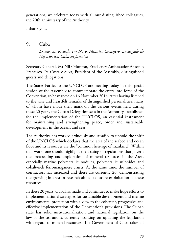generations, we celebrate today with all our distinguished colleagues, the 20th anniversary of the Authority.

I thank you.

9. Cuba

*Excmo. Sr. Ricardo Tur Novo, Ministro Consejero, Encargado de Negocios a.i. Cuba en Jamaica*

Secretary General, Mr Nii Odunton, Excellency Ambassador Antonio Francisco Da Costa e Silva, President of the Assembly, distinguished guests and delegations.

The States Parties to the UNCLOS are meeting today in this special session of the Assembly to commemorate the entry into force of the Convention, to be marked on 16 November 2014. After having listened to the wise and heartfelt remarks of distinguished personalities, many of whom have made their mark on the various events held during these 20 years, the Cuban Delegation sees in the Authority, established for the implementation of the UNCLOS, an essential instrument for maintaining and strengthening peace, order and sustainable development in the oceans and seas.

The Authority has worked arduously and steadily to uphold the spirit of the UNCLOS which declares that the area of the seabed and ocean floor and its resources are the "common heritage of mankind". Within that work, one should highlight the issuing of regulations that govern the prospecting and exploration of mineral resources in the Area, especially marine polymetallic nodules, polymetallic sulphides and cobalt-rich ferromanganese crusts. At the same time, the number of contractors has increased and there are currently 26, demonstrating the growing interest in research aimed at future exploitation of these resources.

In these 20 years, Cuba has made and continues to make huge efforts to implement national strategies for sustainable development and marine environmental protection with a view to the coherent, progressive and effective implementation of the Convention's provisions. The Cuban state has solid institutionalization and national legislation on the law of the sea and is currently working on updating the legislation with regard to mineral resources. The Government of Cuba takes all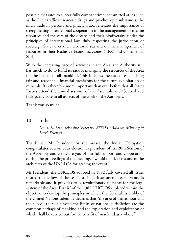possible measures to successfully combat crimes committed at sea such as the illicit traffic in narcotic drugs and psychotropic substances, the illicit trade in persons and piracy. Cuba reiterates the importance of strengthening international cooperation in the management of marine resources and the care of the oceans and their biodiversity, under the principles of international law, duly respecting the jurisdiction of sovereign States over their territorial sea and on the management of resources in their Exclusive Economic Zones (EEZ) and Continental Shelf.

With the increasing pace of activities in the Area, the Authority still has much to do to fulfill its task of managing the resources of the Area for the benefit of all mankind. This includes the task of establishing fair and reasonable financial provisions for the future exploitation of minerals. It is therefore more important than ever before that all States Parties attend the annual sessions of the Assembly and Council and fully participate in all aspects of the work of the Authority.

Thank you so much.

10. India

## *Dr. S. K. Das, Scientific Secretary, ESSO & Advisor, Ministry of Earth Sciences*

Thank you Mr President. At the outset, the Indian Delegation congratulates you on your election as president of the 20th Session of the Assembly and we assure you of our full support and cooperation during the proceedings of the meeting. I would thank also some of the architects of the UNCLOS for gracing the event.

Mr President, the UNCLOS adopted in 1982 fully covered all issues related to the law of the sea in a single instrument. Its relevance is remarkable and it provides truly revolutionary elements for the legal system of the Area. Part XI of the 1982 UNCLOS is placed within the objective to develop the principles in which the General Assembly of the United Nations solemnly declares that "the area of the seafloor and the subsoil thereof beyond the limits of national jurisdiction are the common heritage of mankind and the exploration and exploitation of which shall be carried out for the benefit of mankind as a whole."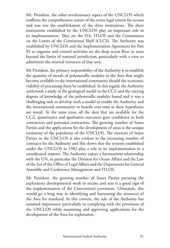Mr. President, the other revolutionary aspect of the UNCLOS which reaffirms the comprehensive nature of the entire legal system for oceans and seas was the establishment of the three institutions. The three institutions established by the UNCLOS play an important role in its implementation. They are the ISA, ITLOS and the Commission on the Limits of the Continental Shelf (CLCS). The Authority was established by UNCLOS and the Implementation Agreement for Part XI to organize and control activities on the deep ocean floor in areas beyond the limits of national jurisdiction, particularly with a view to administer the mineral resources of that area.

Mr President, the primary responsibility of the Authority is to establish the quantity of metals of polymetallic nodules in the Area that might become available to the international community should the economic viability of processing them be established. In this regard, the Authority undertook a study of the geological model in the CCZ and the varying degrees of knowledge of the polymetallic nodules found and it was a challenging task to develop such a model to enable the Authority and the international community to benefit over time as these hypotheses are tested. At the same time, all the data that are available for the CCZ, quantitative and qualitative outcomes gave confidence to both contractors and potential contractors. The growing number of States Parties and the applications for the development of areas is the unique testimony of the popularity of the UNCLOS. The interests of States Parties in the UNCLOS is also evident in the increasing number of contracts for the Authority and this shows that the systems established under the UNCLOS in 1982 play a role in its implementation in a coordinated manner. The Authority enjoys a harmonious relationship with the UN, in particular the Division for Ocean Affairs and the Law of the Sea of the Office of Legal Affairs and the Department for General Assembly and Conference Management and ITLOS.

Mr President, the growing number of States Parties pursuing the exploratory developmental work in oceans and seas is a good sign of the implementation of the Convention's provisions. Ultimately, this would go a long way in identifying and harnessing the resources of the Area for mankind. In this context, the role of the Authority has assumed importance particularly in complying with the provisions of the UNCLOS while examining and approving applications for the development of the Area for exploration.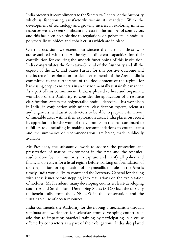India presents its compliments to the Secretary-General of the Authority which is functioning satisfactorily within its mandate. With the development of technology and growing interest in exploring mineral resources we have seen significant increase in the number of contractors and this has been possible due to regulations on polymetallic nodules, polymetallic sulphides and cobalt crusts which are in place.

On this occasion, we extend our sincere thanks to all those who are associated with the Authority in different capacities for their contribution for ensuring the smooth functioning of this institution. India congratulates the Secretary-General of the Authority and all the experts of the LTC and States Parties for this positive outcome and the increase in exploration for deep sea minerals of the Area. India is committed to the furtherance of the development of the regime for harnessing deep sea minerals in an environmentally sustainable manner. As a part of this commitment, India is pleased to host and organize a workshop of the Authority to consider the application of a resource classification system for polymetallic nodule deposits. This workshop in India, in conjunction with mineral classification experts, scientists and engineers, will assist contractors to be able to prepare estimations of mineable areas within their exploration areas. India places on record its appreciation for the work of the Commission that has continued to fulfill its role including in making recommendations to coastal states and the summaries of recommendations are being made publically available.

Mr President, the substantive work to address the protection and preservation of marine environment in the Area and the technical studies done by the Authority to capture and clarify all policy and financial objectives for a fiscal regime before working on formulation of draft regulation for exploitation of polymetallic nodules in the Area is timely. India would like to commend the Secretary-General for dealing with these issues before stepping into regulations on the exploitation of nodules. Mr President, many developing countries, least-developing countries and Small Island Developing States (SIDS) lack the capacity to benefit fully from the UNCLOS in the conservation and the sustainable use of ocean resources.

India commends the Authority for developing a mechanism through seminars and workshops for scientists from developing countries in addition to imparting practical training by participating in a cruise offered by contractors as a part of their obligations. India also played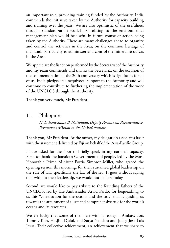an important role, providing training funded by the Authority. India commends the initiative taken by the Authority for capacity building and training over the years. We are also optimistic of the usefulness through standardization workshops relating to the environmental management plan would be useful in future course of action being taken by the Authority. There are many challenges ahead to organize and control the activities in the Area, on the common heritage of mankind, particularly to administer and control the mineral resources in the Area.

We appreciate the function performed by the Secretariat of the Authority and my team commends and thanks the Secretariat on the occasion of the commemoration of the 20th anniversary which is significant for all of us. India pledges its unequivocal support to the Authority and will continue to contribute to furthering the implementation of the work of the UNCLOS through the Authority.

Thank you very much, Mr President.

# 11. Philippines

*H. E. Irene Susan B. Natividad, Deputy Permanent Representative, Permanent Mission to the United Nations*

Thank you, Mr President. At the outset, my delegation associates itself with the statement delivered by Fiji on behalf of the Asia-Pacific Group.

I have asked for the floor to briefly speak in my national capacity. First, to thank the Jamaican Government and people, led by the Most Honorable Prime Minister Portia Simpson-Miller, who graced the opening session this morning, for their sustained global leadership on the rule of law, specifically the law of the sea. It goes without saying that without their leadership, we would not be here today.

Second, we would like to pay tribute to the founding fathers of the UNCLOS, led by late Ambassador Arvid Pardo, for bequeathing to us this "constitution for the oceans and the seas" that is guiding us towards the attainment of a just and comprehensive rule for the world's oceans and its resources.

We are lucky that some of them are with us today – Ambassadors Tommy Koh, Hasjim Djalal, and Satya Nandan; and Judge Jose Luis Jesus. Their collective achievement, an achievement that we share to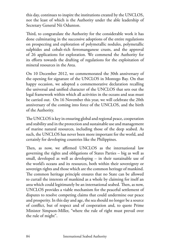this day, continues to inspire the institutions created by the UNCLOS, not the least of which is the Authority under the able leadership of Secretary General Nii Odunton.

Third, to congratulate the Authority for the considerable work it has done culminating in the successive adoptions of the entire regulations on prospecting and exploration of polymetallic nodules, polymetallic sulphides and cobalt-rich ferromanganese crusts, and the approval of 26 applications for exploration. We commend the Authority for its efforts towards the drafting of regulations for the exploitation of mineral resources in the Area.

On 10 December 2012, we commemorated the 30th anniversary of the opening for signature of the UNCLOS in Montego Bay. On that happy occasion, we adopted a commemorative declaration recalling the universal and unified character of the UNCLOS that sets out the legal framework within which all activities in the oceans and seas must be carried out. On 16 November this year, we will celebrate the 20th anniversary of the coming into force of the UNCLOS, and the birth of the Authority.

The UNCLOS is key in ensuring global and regional peace, cooperation and stability and in the protection and sustainable use and management of marine natural resources, including those of the deep seabed. As such, the UNCLOS has never been more important for the world, and certainly for developing countries like the Philippines.

Then, as now, we affirmed UNCLOS as the international law governing the rights and obligations of States Parties – big as well as small, developed as well as developing – in their sustainable use of the world's oceans and its resources, both within their sovereignty or sovereign rights and those which are the common heritage of mankind. The common heritage principle ensures that no State can be allowed to curtail the interests of mankind as a whole by claiming for itself an area which could legitimately be an international seabed. Then, as now, UNCLOS provides a viable mechanism for the peaceful settlement of disputes to resolve competing claims that could undermine our peace and prosperity. In this day and age, the sea should no longer be a source of conflict, but of respect and of cooperation and, to quote Prime Minister Simpson-Miller, "where the rule of right must prevail over the rule of might".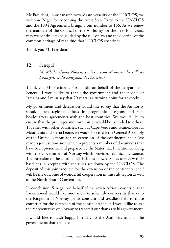Mr President, in our march towards universality of the UNCLOS, we welcome Niger for becoming the latest State Party to the UNCLOS and the 1994 Agreement, bringing our number to 166. As we renew the mandate of the Council of the Authority for the next four years, may we continue to be guided by the rule of law and the doctrine of the common heritage of mankind that UNCLOS enshrines.

Thank you Mr President.

12. Senegal

*M. Mbaba Coura Ndiaye, en Service au Ministere des Affaires Etrangeres et des Senegalais de l'Exterieur*

Thank you Mr President. First of all, on behalf of the delegation of Senegal, I would like to thank the government and the people of Jamaica and I must say that 20 years is a turning point for anybody.

My government and delegation would like to say that the Authority should open regional offices in geographical regions and sign headquarters agreements with the host countries. We would like to ensure that the privileges and immunities would be extended to others. Together with other countries, such as Cape Verde and Guinea-Bissau, Mauritania and Sierra Leone, we would like to ask the General Assembly of the United Nations for an extension of the continental shelf. We made a joint submission which represents a number of documents that have been presented and prepared by the States that I mentioned along with the Government of Norway which provided technical assistance. The extension of the continental shelf has allowed States to review their baselines in keeping with the rules set down by the UNCLOS. The deposit of this joint request for the extension of the continental shelf will be the outcome of wonderful cooperation in this sub-region as well as the North-South Convention.

In conclusion, Senegal, on behalf of the seven African countries that I mentioned would like once more to solemnly conveys its thanks to the Kingdom of Norway for its constant and steadfast help to those countries for the extension of the continental shelf. I would like to ask the representative of Norway to transmit our thanks to his government.

I would like to wish happy birthday to the Authority and all the governments that are here.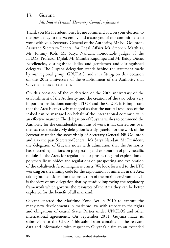## 13. Guyana

#### *Ms. Indera Persaud, Honorary Consul in Jamaica*

Thank you Mr President. First let me commend you on your election to the presidency to the Assembly and assure you of our commitment to work with you. Secretary-General of the Authority, Mr Nii Odunton, Assistant Secretary-General for Legal Affairs Mr Stephen Matthias, Mr Tommy Koh, Mr Satya Nandan, honourable judges of the ITLOS, Professor Djalal, Mr Mumba Kapumpa and Mr Baïdy Diène, Excellencies, distinguished ladies and gentlemen and distinguished delegates. The Guyana delegation stands behind the statement made by our regional group, GRULAC, and it is fitting on this occasion on this 20th anniversary of the establishment of the Authority that Guyana makes a statement.

On this occasion of the celebration of the 20th anniversary of the establishment of the Authority and the creation of the two other very important institutions namely ITLOS and the CLCS, it is important that the Area is effectively managed so that the natural resources of the seabed can be managed on behalf of the international community in an effective manner. The delegation of Guyana wishes to commend the Authority for the considerable amount of work it has carried out over the last two decades. My delegation is truly grateful for the work of the Secretariat under the stewardship of Secretary-General Nii Odunton and also the past Secretary-General, Mr Satya Nandan. Mr President, the delegation of Guyana notes with admiration that the Authority has enacted regulations on prospecting and exploration of polymetallic nodules in the Area, for regulations for prospecting and exploration of polymetallic sulphides and regulations on prospecting and exploration of the cobalt-rich ferromanganese crusts. We look forward to the LTC working on the mining code for the exploitation of minerals in the Area taking into consideration the protection of the marine environment. It is the view of my delegation that by steadily improving the regulatory framework which governs the resources of the Area they can be better exploited for the benefit of all mankind.

Guyana enacted the Maritime Zone Act in 2010 to capture the many new developments in maritime law with respect to the rights and obligations of coastal States Parties under UNCLOS and other international agreements. On September 2011, Guyana made its submission to the CLCS. This submission contains all the relevant data and information with respect to Guyana's claim to an extended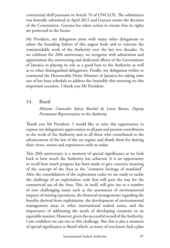continental shelf pursuant to Article 76 of UNCLOS. The submission was formally submitted in April 2012 and Guyana awaits the decision of the Commission. Guyana has taken action to ensure that its rights are protected in the future.

Mr President, my delegation joins with many other delegations to salute the founding fathers of this august body and to reiterate the commendable work of the Authority over the last two decades. As we celebrate the 20th anniversary, we recognize with admiration and appreciation the unwavering and dedicated efforts of the Government of Jamaica in playing its role as a good host to the Authority as well as to other distinguished delegations. Finally, my delegation wishes to commend the Honourable Prime Minister of Jamaica for taking time out of her busy schedule to address the Assembly this morning on this important occasion. I thank you Mr President.

#### 14. Brazil

*Minister Counselor Sylvia Ruschel de Leoni Ramos, Deputy Permanent Representative to the Authority*

Thank you Mr President. I would like to seize this opportunity to express my delegation's appreciation to all past and present contributors to the work of the Authority and to all those who contributed to the advancement of the law of the sea regime and thank them for sharing their views, stories and experiences with us today.

This 20th anniversary is a moment of special significance as we look back at how much the Authority has achieved. It is an opportunity to recall how much progress has been made to give concrete meaning of the concept of the Area as the "common heritage of mankind". After the consolidation of the exploration codes we are ready to tackle the challenge of an exploitation code that will pave the way for the commercial use of the Area. This, in itself, will give rise to a number of new challenging issues such as the assessment of environmental impacts of mining operations, the financial arrangements regarding the benefits derived from exploitation, the development of environmental management areas in other international seabed zones, and the importance of addressing the needs of developing countries in an equitable manner. However, given the successful record of the Authority, I am confident we can rise to this challenge. But this is also a moment of special significance to Brazil which, as many of you know, had a plan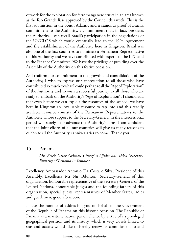of work for the exploration for ferromanganese crusts in an area known as the Rio Grande Rise approved by the Council this week. This is the first submission in the South Atlantic and it stands as proof of Brazil's commitment to the Authority, a commitment that, in fact, pre-dates the Authority. I can recall Brazil's participation in the negotiations of the UNCLOS which would eventually lead to the 1994 Agreement and the establishment of the Authority here in Kingston. Brazil was also one of the first countries to nominate a Permanent Representative to this Authority and we have contributed with experts to the LTC and to the Finance Committee. We have the privilege of presiding over the Assembly of the Authority on this festive occasion.

As I reaffirm our commitment to the growth and consolidation of the Authority, I wish to express our appreciation to all those who have contributed so much to what I could perhaps call the "Age of Exploration" of the Authority and to wish a successful journey to all those who are ready to embark on the Authority's "Age of Exploitation". I should add that even before we can exploit the resources of the seabed, we have here in Kingston an invaluable resource to tap into and this readily available resource consists of the Permanent Representatives to the Authority whose support to the Secretary-General in the intercessional period will surely help advance the Authority's aims. I am confident that the joint efforts of all our countries will give us many reasons to celebrate all the Authority's anniversaries to come. Thank you.

## 15. Panama

*Mr. Erick Cajar Grimas, Chargé d'Affairs a.i, Third Secretary, Embassy of Panama in Jamaica*

Excellency Ambassador Antonio Da Costa e Silva, President of this Assembly, Excellency Mr Nii Odunton, Secretary-General of this organization, honourable representative of the Secretary-General of the United Nations, honourable judges and the founding fathers of this organization, special guests, representatives of Member States, ladies and gentlemen, good afternoon.

I have the honour of addressing you on behalf of the Government of the Republic of Panama on this historic occasion. The Republic of Panama as a maritime nation par excellence by virtue of its privileged geographical position and its history, which is very closely linked to seas and oceans would like to hereby renew its commitment to and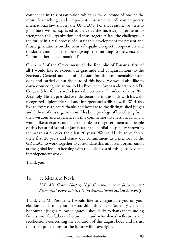confidence in this organization which is the outcome of one of the most far-reaching and important instruments of contemporary international law, that is, the UNCLOS. For that reason, we wish to join those wishes expressed to arrive at the necessary agreements to strengthen this organization and thus, together, face the challenges of the future in a real process of sustainable development for present and future generations on the basis of equality, respect, cooperation and solidarity among all members, giving true meaning to the concept of "common heritage of mankind".

On behalf of the Government of the Republic of Panama, first of all I would like to express our gratitude and congratulations to the Secretary-General and all of his staff for the commendable work done and carried out at the head of this body. We would also like to convey our congratulations to His Excellency Ambassador Antonio Da Costa e Silva for his well-deserved election as President of this 20th Assembly. He has presided over deliberations in this body with his wellrecognized diplomatic skill and interpersonal skills as well. We'd also like to express a sincere thanks and homage to the distinguished judges and fathers of this organization. I had the privilege of benefitting from their wisdom and experience in this commemorative session. Finally, I would like to express our sincere thanks to the government and people of this beautiful island of Jamaica for the cordial hospitality shown to the organization over these last 20 years. We would like to celebrate these first 20 years and renew our commitment as a member of the GRULAC to work together to consolidate this important organization at the global level in keeping with the objectives of this globalized and interdependent world.

Thank you.

## 16. St Kitts and Nevis

*H.E. Mr. Cedric Harper, High Commissioner to Jamaica, and Permanent Representative to the International Seabed Authority*

Thank you Mr President, I would like to congratulate you on your election and on your stewardship thus far. Secretary-General, honourable judges, fellow delegates, I should like to thank the founding fathers, our forefathers who are here and who shared reflections and recollections concerning the evolution of this august body and I trust that their projections for the future will prove right.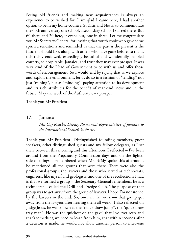Seeing old friends and making new acquaintances is always an experience to be wished for. I am glad I came here, I had another option to be in my home country, St Kitts and Nevis, to commemorate the 60th anniversary of a school, a secondary school I started there. But 60 there and 20 here, it evens out, one in three. Let me congratulate you Mr Secretary-General for inviting that youth choir who gave some spirited renditions and reminded us that the past is the present is the future. I should like, along with others who have gone before, to thank this richly endowed, exceedingly beautiful and wonderfully peopled country, so hospitable, Jamaica, and trust they may ever prosper. It was very kind of the Head of Government to be with us and offer those words of encouragement. So I would end by saying that as we explore and exploit the environment, let us do so in a fashion of "tending" not just "mining", but as "minding", paying attention to its development and its rich attributes for the benefit of mankind, now and in the future. May the work of the Authority ever prosper.

Thank you Mr President.

#### 17. Jamaica

#### *Mr. Coy Roache, Deputy Permanent Representative of Jamaica to the International Seabed Authority*

Thank you Mr President. Distinguished founding members, guest speakers, other distinguished guests and my fellow delegates, as I sat there between this morning and this afternoon, I reflected – I've been around from the Preparatory Commission days and on the lighter side of things, I remembered when Mr. Baïdy spoke this afternoon, he mentioned all the groups that were there. There were also the professional groups, the lawyers and those who served as technocrats, engineers, like myself and geologists, and one of the recollections I had is that we formed a group – the Secretary-General remembers, he is a technocrat – called the Drill and Dredge Club. The purpose of that group was to get away from the group of lawyers. I hope I'm not stoned by the lawyers in the end. So, once in the week –– that group got away from the lawyers after hearing them all week. I also reflected on Judge Jesus, he was known as the "quick draw judge", the "quick draw tray man". He was the quickest on the gavel that I've ever seen and that's something we need to learn from him, that within seconds after a decision is made, he would not allow another person to intervene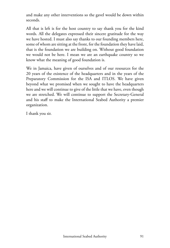and make any other interventions so the gavel would be down within seconds.

All that is left is for the host country to say thank you for the kind words. All the delegates expressed their sincere gratitude for the way we have hosted. I must also say thanks to our founding members here, some of whom are sitting at the front, for the foundation they have laid, that is the foundation we are building on. Without good foundation we would not be here. I mean we are an earthquake country so we know what the meaning of good foundation is.

We in Jamaica, have given of ourselves and of our resources for the 20 years of the existence of the headquarters and in the years of the Preparatory Commission for the ISA and ITLOS. We have given beyond what we promised when we sought to have the headquarters here and we will continue to give of the little that we have, even though we are stretched. We will continue to support the Secretary-General and his staff to make the International Seabed Authority a premier organization.

I thank you sir.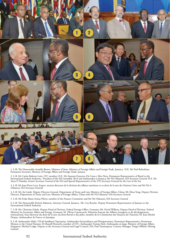

1. L-R: The Honourable Arnaldo Brown, Minister of State, Ministry of Foreign Affairs and Foreign Trade, Jamaica; H.E. Mr Paul Robotham, Permanent Secretary, Ministry of Foreign Affairs and Foreign Trade, Jamaica

2. L-R: Mr Carlos Roberto Leite, LTC member; H.E. Mr Antonio Francisco Da Costa e Silva Neto, Permanent Representative of Brazil to the International Seabed Authority, President of the ISA Assembly 2014 and Ambassador to Jamaica; Mr Nii Odunton, ISA Secretary General; H.E. Mr<br>Satya N Nandan, former Secretary General of the ISA and Special Representative o

3. L-R: Mr Jean-Pierre Levy, Expert, ancient directeur de la division des affaires maritimes et tu droit de la mer des Nations Unies and Mr Nii A Odunton, ISA Secretary-General

4. L-R: Mr. Jia Guide, Deputy Director-General, Department of Treaty and Law, Ministry of Foreign Affairs, China; Mr Zhou Yong, Deputy Division Director, Department of Treaty and Law, Ministry of Foreign Affairs, China with Mr Nii Odunton, ISA Secretary General

5. L-R: Ms Frida Maria Armas-Pfirter, member of the Finance Committee and Mr Nii Odunton, ISA Secretary General

6. L-R: The Honourable Patrick Atkinson, Attorney General, Jamaica; Mr. Coy Roache, Deputy Permanent Representative of Jamaica to the International Seabed Authority

7. L-R: Mr. Christian Schulz, Deputy Head of Division, Federal Foreign Office, Germany; Mr. David Wilkens, Deputy Head of Division, Federal Ministry for Economic Affairs and Energy, Germany; M. Olivier Guyonvarch, Ministère français des Affaires étrangères et du développement international, Sous-directeur du droit de la mer, du droit fluvial et des pôles, membre de la Commission des Finances de l'Autorité; M. Jean-Michel Despax, Ambassadeur de France en Jamaïque

8. L-R: Ambassador Mahe 'Uli'uli Sandhurst Tupouniua, Ambassador Extraordinary and Plenipotentiary, Permanent Representative, Permanent Mission to the United Nations; Dr Russell Howorth, member of LTC; Ambassador Tommy Koh, Ambassador-at-large, Ministry of Foreign Affairs, Singapore; Michael Lodge, Deputy to the Secretary-General and Legal Counsel, ISA; Paul Taumoepeau, Country Manager, Tonga Offshore Mining Limited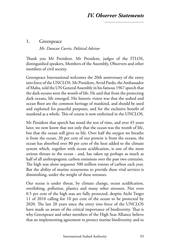#### 1. Greenpeace

*Mr. Duncan Currie, Political Advisor*

Thank you Mr President. Mr President, judges of the ITLOS, distinguished speakers, Members of the Assembly, Observers and other members of civil society.

Greenpeace International welcomes the 20th anniversary of the entry into force of the UNCLOS. Mr President, Arvid Pardo, the Ambassador of Malta, told the UN General Assembly in his famous 1967 speech that the dark oceans were the womb of life. He said that from the protecting dark oceans, life emerged. His historic vision was that the seabed and ocean floor are the common heritage of mankind, and should be used and exploited for peaceful purposes, and for the exclusive benefit of mankind as a whole. This of course is now enshrined in the UNCLOS.

Mr President that speech has stood the test of time, and over 45 years later, we now know that not only that the ocean was the womb of life, but that the ocean still gives us life. Over half the oxygen we breathe is from the ocean, 20 per cent of our protein is from the oceans, the ocean has absorbed over 80 per cent of the heat added to the climate system which, together with ocean acidification, is one of the most serious threats to the ocean - and, has taken up perhaps as much as half of all anthropogenic carbon emissions over the past two centuries. The high seas alone sequester 500 million tonnes of carbon each year. But the ability of marine ecosystems to provide these vital services is diminishing, under the weight of these stressors.

Our ocean is under threat, by climate change, ocean acidification, overfishing, pollution, plastics and many other stressors. Not even 0.5 per cent of the high seas are fully protected, despite Aichi Target 11 of 2010 calling for 10 per cent of the ocean to be protected by 2020. The last 20 years since the entry into force of the UNCLOS have made us aware of the critical importance of biodiversity. That is why Greenpeace and other members of the High Seas Alliance believe that an implementing agreement to protect marine biodiversity, and to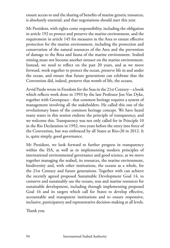ensure access to and the sharing of benefits of marine genetic resources, is absolutely essential, and that negotiations should start this year.

Mr President, with rights come responsibility, including the obligation in article 192 to protect and preserve the marine environment, and the requirement in article 145 for measures in the Area to ensure effective protection for the marine environment, including the protection and conservation of the natural resources of the Area and the prevention of damage to the flora and fauna of the marine environment. Seabed mining must not become another stressor on the marine environment. Instead, we need to reflect on the past 20 years, and as we move forward, work together to protect the ocean, preserve life in and under the ocean, and ensure that future generations can celebrate that the Convention did, indeed, preserve that womb of life, the oceans.

Arvid Pardo wrote in Freedom for the Seas in the 21st Century – a book which reflects work done in 1993 by the late Professor Jon Van Dyke, together with Greenpeace - that common heritage requires a system of management involving all the stakeholders. He called this one of the revolutionary bases of the common heritage concept. We have heard many states in this session endorse the principle of transparency, and we welcome this. Transparency was not only called for in Principle 10 in the Rio Declaration in 1992, two years before the entry into force of the Convention, but was embraced by all States at Rio+20 in 2012. It is, quite simply, good governance.

Mr President, we look forward to further progress in transparency within the ISA, as well as in implementing modern principles of international environmental governance and good science, as we move together managing the seabed, its resources, the marine environment, biodiversity and, with other institutions, the oceans as a whole, for the 21st Century and future generations. Together with can achieve the recently agreed proposed Sustainable Development Goal 14, to conserve and sustainably use the oceans, seas and marine resources for sustainable development, including through implementing proposed Goal 16 and its targets which call for States to develop effective, accountable and transparent institutions and to ensure responsive, inclusive, participatory and representative decision-making at all levels.

Thank you.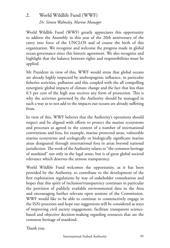# 2. World Wildlife Fund (WWF) *Dr. Simon Walmsley, Marine Manager*

World Wildlife Fund (WWF) greatly appreciates this opportunity to address the Assembly in this year of the 20th anniversary of the entry into force of the UNCLOS and of course the birth of this organization. We recognize and welcome the progress made in global ocean governance since this historic agreement. We also recognize and highlight that the balance between rights and responsibilities must be applied.

Mr President in view of this, WWF would stress that global oceans are already highly impacted by anthropogenic influence, in particular fisheries activities, pollution and this coupled with the all compelling synergistic global impacts of climate change and the fact that less than 0.5 per cent of the high seas receives any form of protection. This is why the activities governed by the Authority should be managed in such a way as to not add to the impacts our oceans are already suffering from.

In view of this, WWF believes that the Authority's operations should respect and be aligned with efforts to protect the marine ecosystems and processes as agreed in the context of a number of international conventions and fora, for example, marine protected areas, vulnerable marine ecosystems and ecologically or biologically significant marine areas designated through international fora in areas beyond national jurisdiction. The work of the Authority relates to "the common heritage of mankind" not only in the legal sense, but is of great global societal relevance which deserves the utmost transparency.

World Wildlife Fund welcomes the opportunity, as it has been provided by the Authority, to contribute to the development of the first exploitation regulations by way of stakeholder consultation and hopes that this spirit of inclusion/transparency continues in particular the provision of publicly available environmental data in the Area and encouraging further relevant open sessions of the Commission. WWF would like to be able to continue to constructively engage in the ISA's processes and hope our suggestions will be considered as ways of improving civil society engagement, facilitate transparent sciencebased and objective decision-making regarding resources that are the common heritage of mankind.

Thank you.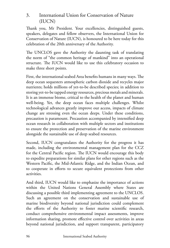# 3. International Union for Conservation of Nature (IUCN)

Thank you, Mr President. Your excellencies, distinguished guests, speakers, delegates and fellow observers, the International Union for Conservation of Nature (IUCN), is honoured to be here today for this celebration of the 20th anniversary of the Authority.

The UNCLOS gave the Authority the daunting task of translating the norm of "the common heritage of mankind" into an operational structure. The IUCN would like to use this celebratory occasion to make three short points.

First, the international seabed Area benefits humans in many ways. The deep ocean sequesters atmospheric carbon dioxide and recycles major nutrients; holds millions of yet-to-be described species; in addition to storing yet-to-be tapped energy resources, precious metals and minerals. It is an immense biome, critical to the health of the planet and human well-being. Yet, the deep ocean faces multiple challenges. Whilst technological advances greatly improve our access, impacts of climate change are stressing even the ocean deeps. Under these conditions, precaution is paramount. Precaution accompanied by intensified deep ocean research in collaboration with multiple sectors and institutions to ensure the protection and preservation of the marine environment alongside the sustainable use of deep seabed resources.

Second, IUCN congratulates the Authority for the progress it has made, including the environmental management plan for the CCZ for the Central Pacific region. The IUCN would encourage this body to expedite preparations for similar plans for other regions such as the Western Pacific, the Mid-Atlantic Ridge, and the Indian Ocean, and to cooperate in efforts to secure equivalent protections from other activities.

And third, IUCN would like to emphasize the importance of actions within the United Nations General Assembly where States are discussing a possible third implementing agreement to the UNCLOS. Such an agreement on the conservation and sustainable use of marine biodiversity beyond national jurisdiction could complement the efforts of the Authority to foster marine scientific research, conduct comprehensive environmental impact assessments, improve information sharing, promote effective control over activities in areas beyond national jurisdiction, and support transparent, participatory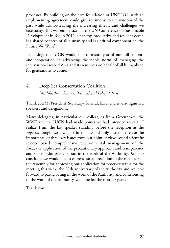processes. By building on the firm foundation of UNCLOS, such an implementing agreement could give testimony to the wisdom of the past while acknowledging the increasing threats and challenges we face today. This was emphasized at the UN Conference on Sustainable Development in Rio in 2012, a healthy, productive and resilient ocean is a shared concern of all humanity and is a critical component of "the Future We Want".

In closing, the IUCN would like to assure you of our full support and cooperation in advancing the noble norm of managing the international seabed Area and its resources on behalf of all humankind for generations to come.

## 4. Deep Sea Conservation Coalition *Mr. Matthew Gianni, Political and Policy Adviser*

Thank you Mr President, Secretary-General, Excellencies, distinguished speakers and delegations.

Many delegates, in particular our colleagues from Greenpeace, the WWF and the IUCN had made points we had intended to raise. I realize I am the last speaker standing before the reception at the Pegasus tonight so I will be brief. I would only like to reiterate the importance of three key issues from our point of view: sound scientific science based comprehensive environmental management of the Area, the application of the precautionary approach and transparency and stakeholder participation in the work of the Authority. And, to conclude, we would like to express our appreciation to the members of the Assembly for approving our application for observer status for the meeting this week, the 20th anniversary of the Authority and we look forward to participating in the work of the Authority and contributing to the work of the Authority, we hope for the next 20 years.

Thank you.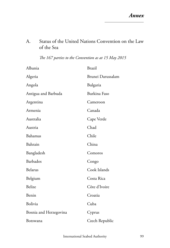## A. Status of the United Nations Convention on the Law of the Sea

|  |  |  |  | The 167 parties to the Convention as at 15 May 2015 |  |  |  |
|--|--|--|--|-----------------------------------------------------|--|--|--|
|--|--|--|--|-----------------------------------------------------|--|--|--|

| Albania                | <b>Brazil</b>     |
|------------------------|-------------------|
| Algeria                | Brunei Darussalam |
| Angola                 | Bulgaria          |
| Antigua and Barbuda    | Burkina Faso      |
| Argentina              | Cameroon          |
| Armenia                | Canada            |
| Australia              | Cape Verde        |
| Austria                | Chad              |
| Bahamas                | Chile             |
| Bahrain                | China             |
| Bangladesh             | Comoros           |
| Barbados               | Congo             |
| Belarus                | Cook Islands      |
| Belgium                | Costa Rica        |
| Belize                 | Côte d'Ivoire     |
| Benin                  | Croatia           |
| Bolivia                | Cuba              |
| Bosnia and Herzegovina | Cyprus            |
| Botswana               | Czech Republic    |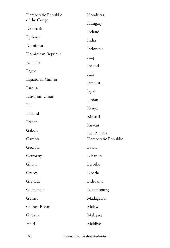| Democratic Republic | Honduras            |  |  |
|---------------------|---------------------|--|--|
| of the Congo        | Hungary             |  |  |
| Denmark             | Iceland             |  |  |
| Djibouti            | India               |  |  |
| Dominica            | Indonesia           |  |  |
| Dominican Republic  | Iraq                |  |  |
| Ecuador             | Ireland             |  |  |
| Egypt               | Italy               |  |  |
| Equatorial Guinea   | Jamaica             |  |  |
| Estonia             | Japan               |  |  |
| European Union      | Jordan              |  |  |
| Fiji                | Kenya               |  |  |
| Finland             | Kiribati            |  |  |
| France              | Kuwait              |  |  |
| Gabon               | Lao People's        |  |  |
| Gambia              | Democratic Republic |  |  |
| Georgia             | Latvia              |  |  |
| Germany             | Lebanon             |  |  |
| Ghana               | Lesotho             |  |  |
| Greece              | Liberia             |  |  |
| Grenada             | Lithuania           |  |  |
| Guatemala           | Luxembourg          |  |  |
| Guinea              | Madagascar          |  |  |
| Guinea-Bissau       | Malawi              |  |  |
| Guyana              | Malaysia            |  |  |
| Haiti               | Maldives            |  |  |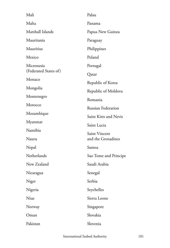| Mali                  | Palau                     |  |  |
|-----------------------|---------------------------|--|--|
| Malta                 | Panama                    |  |  |
| Marshall Islands      | Papua New Guinea          |  |  |
| Mauritania            | Paraguay                  |  |  |
| Mauritius             | Philippines               |  |  |
| Mexico                | Poland                    |  |  |
| Micronesia            | Portugal                  |  |  |
| (Federated States of) | Qatar                     |  |  |
| Monaco                | Republic of Korea         |  |  |
| Mongolia              | Republic of Moldova       |  |  |
| Montenegro            | Romania                   |  |  |
| Morocco               | <b>Russian Federation</b> |  |  |
| Mozambique            | Saint Kitts and Nevis     |  |  |
| Myanmar               | Saint Lucia               |  |  |
| Namibia               | Saint Vincent             |  |  |
| Nauru                 | and the Grenadines        |  |  |
| Nepal                 | Samoa                     |  |  |
| Netherlands           | Sao Tome and Principe     |  |  |
| New Zealand           | Saudi Arabia              |  |  |
| Nicaragua             | Senegal                   |  |  |
| Niger                 | Serbia                    |  |  |
| Nigeria               | Seychelles                |  |  |
| Niue                  | Sierra Leone              |  |  |
| Norway                | Singapore                 |  |  |
| Oman                  | Slovakia                  |  |  |
| Pakistan              | Slovenia                  |  |  |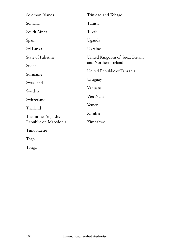| Solomon Islands       | Trinidad and Tobago                    |  |  |
|-----------------------|----------------------------------------|--|--|
| Somalia               | Tunisia                                |  |  |
| South Africa          | Tuvalu                                 |  |  |
| Spain                 | Uganda                                 |  |  |
| Sri Lanka             | Ukraine                                |  |  |
| State of Palestine    | United Kingdom of Great Britain        |  |  |
| Sudan                 | and Northern Ireland                   |  |  |
| Suriname              | United Republic of Tanzania<br>Uruguay |  |  |
| Swaziland             |                                        |  |  |
| Sweden                | Vanuatu<br>Viet Nam                    |  |  |
| Switzerland           |                                        |  |  |
|                       | Yemen                                  |  |  |
| Thailand              |                                        |  |  |
| The former Yugoslav   | Zambia                                 |  |  |
| Republic of Macedonia | Zimbabwe                               |  |  |
| Timor-Leste           |                                        |  |  |
| Togo                  |                                        |  |  |

Tonga